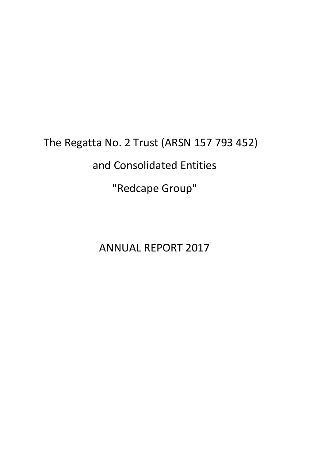# The Regatta No. 2 Trust (ARSN 157 793 452) and Consolidated Entities "Redcape Group"

ANNUAL REPORT 2017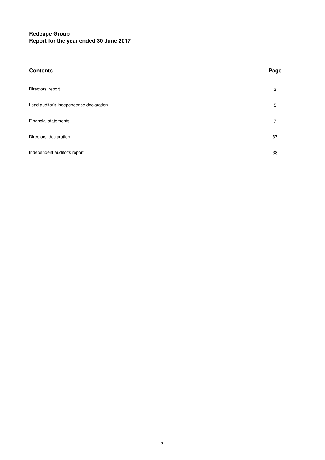### **Redcape Group Report for the year ended 30 June 2017**

| <b>Contents</b>                         | Page |
|-----------------------------------------|------|
| Directors' report                       | 3    |
| Lead auditor's independence declaration | 5    |
| <b>Financial statements</b>             | 7    |
| Directors' declaration                  | 37   |
| Independent auditor's report            | 38   |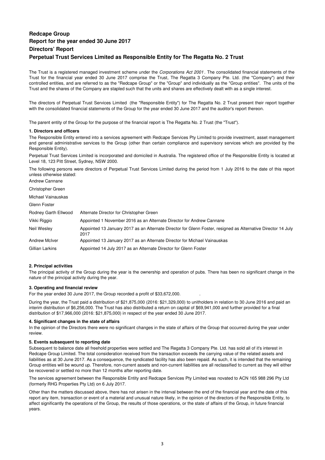## **Redcape Group Report for the year ended 30 June 2017 Directors' Report Perpetual Trust Services Limited as Responsible Entity for The Regatta No. 2 Trust**

The Trust is a registered managed investment scheme under the Corporations Act 2001. The consolidated financial statements of the Trust for the financial year ended 30 June 2017 comprise the Trust, The Regatta 3 Company Pte. Ltd. (the "Company") and their controlled entities, and are referred to as the "Redcape Group" or the "Group" and individually as the "Group entities". The units of the Trust and the shares of the Company are stapled such that the units and shares are effectively dealt with as a single interest.

The directors of Perpetual Trust Services Limited (the "Responsible Entity") for The Regatta No. 2 Trust present their report together with the consolidated financial statements of the Group for the year ended 30 June 2017 and the auditor's report thereon.

The parent entity of the Group for the purpose of the financial report is The Regatta No. 2 Trust (the "Trust").

#### **1. Directors and officers**

The Responsible Entity entered into a services agreement with Redcape Services Pty Limited to provide investment, asset management and general administrative services to the Group (other than certain compliance and supervisory services which are provided by the Responsible Entity).

Perpetual Trust Services Limited is incorporated and domiciled in Australia. The registered office of the Responsible Entity is located at Level 18, 123 Pitt Street, Sydney, NSW 2000.

The following persons were directors of Perpetual Trust Services Limited during the period from 1 July 2016 to the date of this report unless otherwise stated:

Andrew Cannane Christopher Green

Michael Vainauskas

Glenn Foster

| Alternate Director for Christopher Green                                                                              |
|-----------------------------------------------------------------------------------------------------------------------|
| Appointed 1 November 2016 as an Alternate Director for Andrew Cannane                                                 |
| Appointed 13 January 2017 as an Alternate Director for Glenn Foster, resigned as Alternative Director 14 July<br>2017 |
| Appointed 13 January 2017 as an Alternate Director for Michael Vainauskas                                             |
| Appointed 14 July 2017 as an Alternate Director for Glenn Foster                                                      |
|                                                                                                                       |

#### **2. Principal activities**

The principal activity of the Group during the year is the ownership and operation of pubs. There has been no significant change in the nature of the principal activity during the year.

#### **3. Operating and financial review**

For the year ended 30 June 2017, the Group recorded a profit of \$33,672,000.

During the year, the Trust paid a distribution of \$21,875,000 (2016: \$21,329,000) to unitholders in relation to 30 June 2016 and paid an interim distribution of \$6,256,000. The Trust has also distributed a return on capital of \$69,941,000 and further provided for a final distribution of \$17,966,000 (2016: \$21,875,000) in respect of the year ended 30 June 2017.

#### **4. Significant changes in the state of affairs**

In the opinion of the Directors there were no significant changes in the state of affairs of the Group that occurred during the year under review.

#### **5. Events subsequent to reporting date**

Subsequent to balance date all freehold properties were settled and The Regatta 3 Company Pte. Ltd. has sold all of it's interest in Redcape Group Limited. The total consideration received from the transaction exceeds the carrying value of the related assets and liabilities as at 30 June 2017. As a consequence, the syndicated facility has also been repaid. As such, it is intended that the remaining Group entities will be wound up. Therefore, non-current assets and non-current liabilities are all reclassified to current as they will either be recovered or settled no more than 12 months after reporting date.

The services agreement between the Responsible Entity and Redcape Services Pty Limited was novated to ACN 165 988 296 Pty Ltd (formerly RHG Properties Pty Ltd) on 6 July 2017.

Other than the matters discussed above, there has not arisen in the interval between the end of the financial year and the date of this report any item, transaction or event of a material and unusual nature likely, in the opinion of the directors of the Responsible Entity, to affect significantly the operations of the Group, the results of those operations, or the state of affairs of the Group, in future financial years.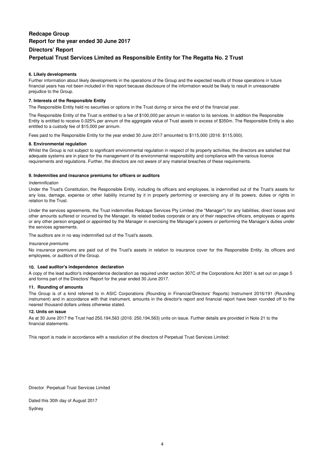# **Redcape Group Directors' Report Perpetual Trust Services Limited as Responsible Entity for The Regatta No. 2 Trust Report for the year ended 30 June 2017**

#### **6. Likely developments**

Further information about likely developments in the operations of the Group and the expected results of those operations in future financial years has not been included in this report because disclosure of the information would be likely to result in unreasonable prejudice to the Group.

#### **7. Interests of the Responsible Entity**

The Responsible Entity held no securities or options in the Trust during or since the end of the financial year.

The Responsible Entity of the Trust is entitled to a fee of \$100,000 per annum in relation to its services. In addition the Responsible Entity is entitled to receive 0.025% per annum of the aggregate value of Trust assets in excess of \$350m. The Responsible Entity is also entitled to a custody fee of \$15,000 per annum.

Fees paid to the Responsible Entity for the year ended 30 June 2017 amounted to \$115,000 (2016: \$115,000).

#### **8. Environmental regulation**

Whilst the Group is not subject to significant environmental regulation in respect of its property activities, the directors are satisfied that adequate systems are in place for the management of its environmental responsibility and compliance with the various licence requirements and regulations. Further, the directors are not aware of any material breaches of these requirements.

#### **9. Indemnities and insurance premiums for officers or auditors**

#### Indemnification

Under the Trust's Constitution, the Responsible Entity, including its officers and employees, is indemnified out of the Trust's assets for any loss, damage, expense or other liability incurred by it in properly performing or exercising any of its powers, duties or rights in relation to the Trust.

Under the services agreements, the Trust indemnifies Redcape Services Pty Limited (the "Manager") for any liabilities, direct losses and other amounts suffered or incurred by the Manager, its related bodies corporate or any of their respective officers, employees or agents or any other person engaged or appointed by the Manager in exercising the Manager's powers or performing the Manager's duties under the services agreements.

The auditors are in no way indemnified out of the Trust's assets.

#### Insurance premiums

No insurance premiums are paid out of the Trust's assets in relation to insurance cover for the Responsible Entity, its officers and employees, or auditors of the Group.

#### **10. Lead auditor's independence declaration**

A copy of the lead auditor's independence declaration as required under section 307C of the Corporations Act 2001 is set out on page 5 and forms part of the Directors' Report for the year ended 30 June 2017.

#### **11. Rounding of amounts**

The Group is of a kind referred to in ASIC Corporations (Rounding in Financial/Directors' Reports) Instrument 2016/191 (Rounding instrument) and in accordance with that instrument, amounts in the director's report and financial report have been rounded off to the nearest thousand dollars unless otherwise stated.

#### **12. Units on issue**

As at 30 June 2017 the Trust had 250,194,563 (2016: 250,194,563) units on issue. Further details are provided in Note 21 to the financial statements.

This report is made in accordance with a resolution of the directors of Perpetual Trust Services Limited:

Director Perpetual Trust Services Limited

Dated this 30th day of August 2017 Sydney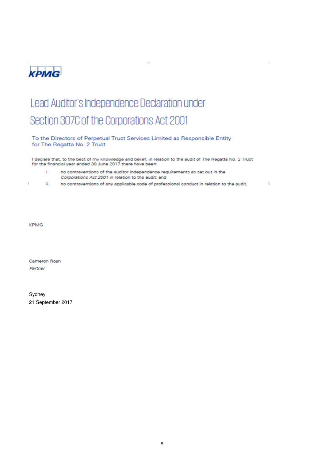

# Section 307C of the Corporations Act 2001 To the Directors of Perpetual Trust Services Limited as Responsible Entity For Hannoiro Pillach

To the Directors of Perpetual Trust Services Limited as Responsible Entity

for the imandial year ended ou June 2017 there have been. I declare that, to the best of my knowledge and belief, in relation to the audit of The Regatta No. 2 Trust

- i. no contraventions of the auditor independence requirements as set out in the Corporations Act 2001 in relation to the audit; and
- ii. no contraventions of any applicable code of professional conduct in relation to the audit.

 $\mathbbm{C}$ 

KPMG

j.

Cameron Roan Partner

Sydney 21 September 2017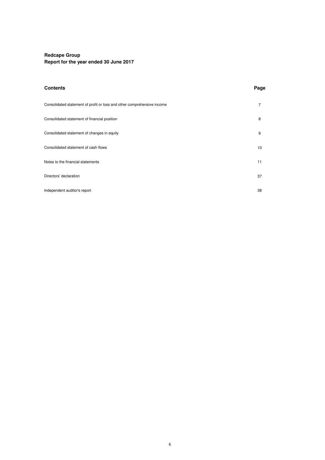### **Redcape Group Report for the year ended 30 June 2017**

#### **Contents Page**

| Consolidated statement of profit or loss and other comprehensive income |    |
|-------------------------------------------------------------------------|----|
| Consolidated statement of financial position                            | 8  |
| Consolidated statement of changes in equity                             | 9  |
| Consolidated statement of cash flows                                    | 10 |
| Notes to the financial statements                                       | 11 |
| Directors' declaration                                                  | 37 |
| Independent auditor's report                                            | 38 |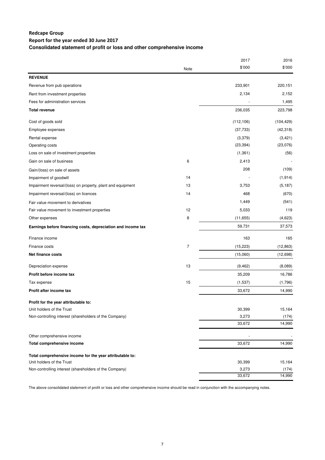## **Redcape Group**

**Report for the year ended 30 June 2017**

**Consolidated statement of profit or loss and other comprehensive income**

|                                                              |                | 2017       | 2016       |
|--------------------------------------------------------------|----------------|------------|------------|
|                                                              | Note           | \$'000     | \$'000     |
| <b>REVENUE</b>                                               |                |            |            |
| Revenue from pub operations                                  |                | 233,901    | 220,151    |
| Rent from investment properties                              |                | 2,134      | 2,152      |
| Fees for administration services                             |                |            | 1,495      |
| <b>Total revenue</b>                                         |                | 236,035    | 223,798    |
| Cost of goods sold                                           |                | (112, 106) | (104, 429) |
| Employee expenses                                            |                | (37, 733)  | (42, 318)  |
| Rental expense                                               |                | (3,379)    | (3,421)    |
| Operating costs                                              |                | (23, 394)  | (23,076)   |
| Loss on sale of investment properties                        |                | (1, 361)   | (56)       |
| Gain on sale of business                                     | 6              | 2,413      |            |
| Gain/(loss) on sale of assets                                |                | 208        | (109)      |
| Impairment of goodwill                                       | 14             |            | (1, 914)   |
| Impairment reversal/(loss) on property, plant and equipment  | 13             | 3,753      | (5, 187)   |
| Impairment reversal/(loss) on licences                       | 14             | 468        | (670)      |
| Fair value movement to derivatives                           |                | 1,449      | (541)      |
| Fair value movement to investment properties                 | 12             | 5,033      | 119        |
| Other expenses                                               | 8              | (11, 655)  | (4,623)    |
| Earnings before financing costs, depreciation and income tax |                | 59,731     | 37,573     |
| Finance income                                               |                | 163        | 165        |
| Finance costs                                                | $\overline{7}$ | (15, 223)  | (12, 863)  |
| Net finance costs                                            |                | (15,060)   | (12,698)   |
| Depreciation expense                                         | 13             | (9, 462)   | (8,089)    |
| Profit before income tax                                     |                | 35,209     | 16,786     |
| Tax expense                                                  | 15             | (1, 537)   | (1,796)    |
| Profit after income tax                                      |                | 33,672     | 14,990     |
| Profit for the year attributable to:                         |                |            |            |
| Unit holders of the Trust                                    |                | 30,399     | 15,164     |
| Non-controlling interest (shareholders of the Company)       |                | 3,273      | (174)      |
|                                                              |                | 33,672     | 14,990     |
| Other comprehensive income                                   |                |            |            |
| Total comprehensive income                                   |                | 33,672     | 14,990     |
| Total comprehensive income for the year attributable to:     |                |            |            |
| Unit holders of the Trust                                    |                | 30,399     | 15,164     |
| Non-controlling interest (shareholders of the Company)       |                | 3,273      | (174)      |
|                                                              |                | 33,672     | 14,990     |

The above consolidated statement of profit or loss and other comprehensive income should be read in conjunction with the accompanying notes.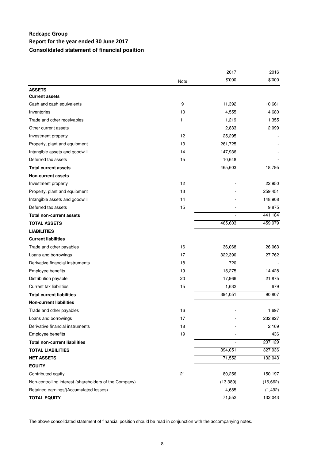### **Redcape Group Report for the year ended 30 June 2017 Consolidated statement of financial position**

|                                                        |      | 2017           | 2016      |
|--------------------------------------------------------|------|----------------|-----------|
|                                                        | Note | \$'000         | \$'000    |
| <b>ASSETS</b>                                          |      |                |           |
| <b>Current assets</b>                                  |      |                |           |
| Cash and cash equivalents                              | 9    | 11,392         | 10,661    |
| Inventories                                            | 10   | 4,555          | 4,680     |
| Trade and other receivables                            | 11   | 1,219          | 1,355     |
| Other current assets                                   |      | 2,833          | 2,099     |
| Investment property                                    | 12   | 25,295         |           |
| Property, plant and equipment                          | 13   | 261,725        |           |
| Intangible assets and goodwill                         | 14   | 147,936        |           |
| Deferred tax assets                                    | 15   | 10,648         |           |
| <b>Total current assets</b>                            |      | 465,603        | 18,795    |
| <b>Non-current assets</b>                              |      |                |           |
| Investment property                                    | 12   |                | 22,950    |
| Property, plant and equipment                          | 13   |                | 259,451   |
| Intangible assets and goodwill                         | 14   |                | 148,908   |
| Deferred tax assets                                    | 15   |                | 9,875     |
| <b>Total non-current assets</b>                        |      |                | 441,184   |
| <b>TOTAL ASSETS</b>                                    |      | 465,603        | 459,979   |
| <b>LIABILITIES</b>                                     |      |                |           |
| <b>Current liabilities</b>                             |      |                |           |
| Trade and other payables                               | 16   | 36,068         | 26,063    |
| Loans and borrowings                                   | 17   | 322,390        | 27,762    |
| Derivative financial instruments                       | 18   | 720            |           |
| Employee benefits                                      | 19   | 15,275         | 14,428    |
| Distribution payable                                   | 20   | 17,966         | 21,875    |
| Current tax liabilities                                | 15   | 1,632          | 679       |
| <b>Total current liabilities</b>                       |      | 394,051        | 90,807    |
| <b>Non-current liabilities</b>                         |      |                |           |
| Trade and other payables                               | 16   |                | 1,697     |
| Loans and borrowings                                   | 17   |                | 232,827   |
| Derivative financial instruments                       | 18   |                | 2,169     |
| Employee benefits                                      | 19   |                | 436       |
| <b>Total non-current liabilities</b>                   |      | $\blacksquare$ | 237,129   |
| <b>TOTAL LIABILITIES</b>                               |      | 394,051        | 327,936   |
| <b>NET ASSETS</b>                                      |      | 71,552         | 132,043   |
| <b>EQUITY</b>                                          |      |                |           |
| Contributed equity                                     | 21   | 80,256         | 150,197   |
| Non-controlling interest (shareholders of the Company) |      | (13, 389)      | (16, 662) |
| Retained earnings/(Accumulated losses)                 |      | 4,685          | (1, 492)  |
| <b>TOTAL EQUITY</b>                                    |      | 71,552         | 132,043   |
|                                                        |      |                |           |

The above consolidated statement of financial position should be read in conjunction with the accompanying notes.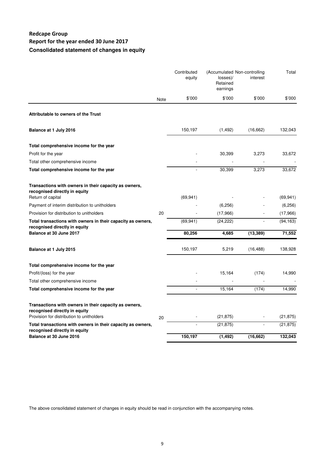### **Redcape Group Report for the year ended 30 June 2017 Consolidated statement of changes in equity**

|                                                                                              |      | Contributed<br>equity | (Accumulated Non-controlling<br>$losses$ )/<br>Retained<br>earnings | interest                 | Total     |
|----------------------------------------------------------------------------------------------|------|-----------------------|---------------------------------------------------------------------|--------------------------|-----------|
|                                                                                              | Note | \$'000                | \$'000                                                              | \$'000                   | \$'000    |
| <b>Attributable to owners of the Trust</b>                                                   |      |                       |                                                                     |                          |           |
| Balance at 1 July 2016                                                                       |      | 150,197               | (1, 492)                                                            | (16,662)                 | 132,043   |
| Total comprehensive income for the year                                                      |      |                       |                                                                     |                          |           |
| Profit for the year                                                                          |      |                       | 30,399                                                              | 3,273                    | 33,672    |
| Total other comprehensive income                                                             |      |                       |                                                                     |                          |           |
| Total comprehensive income for the year                                                      |      |                       | 30,399                                                              | 3,273                    | 33,672    |
| Transactions with owners in their capacity as owners,<br>recognised directly in equity       |      |                       |                                                                     |                          |           |
| Return of capital                                                                            |      | (69, 941)             |                                                                     |                          | (69, 941) |
| Payment of interim distribution to unitholders                                               |      |                       | (6, 256)                                                            |                          | (6,256)   |
| Provision for distribution to unitholders                                                    | 20   |                       | (17,966)                                                            |                          | (17,966)  |
| Total transactions with owners in their capacity as owners,<br>recognised directly in equity |      | (69, 941)             | (24, 222)                                                           | ä,                       | (94, 163) |
| Balance at 30 June 2017                                                                      |      | 80,256                | 4,685                                                               | (13, 389)                | 71,552    |
| Balance at 1 July 2015                                                                       |      | 150,197               | 5,219                                                               | (16, 488)                | 138,928   |
| Total comprehensive income for the year                                                      |      |                       |                                                                     |                          |           |
| Profit/(loss) for the year                                                                   |      |                       | 15,164                                                              | (174)                    | 14,990    |
| Total other comprehensive income                                                             |      |                       |                                                                     |                          |           |
| Total comprehensive income for the year                                                      |      | ä,                    | 15,164                                                              | (174)                    | 14,990    |
| Transactions with owners in their capacity as owners,<br>recognised directly in equity       |      |                       |                                                                     |                          |           |
| Provision for distribution to unitholders                                                    | 20   |                       | (21, 875)                                                           | $\overline{\phantom{a}}$ | (21, 875) |
| Total transactions with owners in their capacity as owners,<br>recognised directly in equity |      | ä,                    | (21, 875)                                                           | ä,                       | (21, 875) |
| Balance at 30 June 2016                                                                      |      | 150,197               | (1, 492)                                                            | (16, 662)                | 132,043   |

The above consolidated statement of changes in equity should be read in conjunction with the accompanying notes.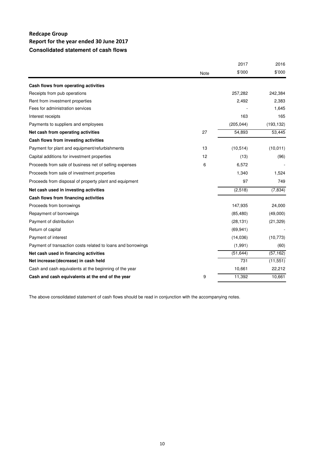### **Redcape Group Report for the year ended 30 June 2017 Consolidated statement of cash flows**

|                                                              |             | 2017       | 2016       |
|--------------------------------------------------------------|-------------|------------|------------|
|                                                              | <b>Note</b> | \$'000     | \$'000     |
| Cash flows from operating activities                         |             |            |            |
| Receipts from pub operations                                 |             | 257,282    | 242,384    |
| Rent from investment properties                              |             | 2,492      | 2,383      |
| Fees for administration services                             |             |            | 1,645      |
| Interest receipts                                            |             | 163        | 165        |
| Payments to suppliers and employees                          |             | (205, 044) | (193, 132) |
| Net cash from operating activities                           | 27          | 54,893     | 53,445     |
| Cash flows from investing activities                         |             |            |            |
| Payment for plant and equipment/refurbishments               | 13          | (10, 514)  | (10, 011)  |
| Capital additions for investment properties                  | 12          | (13)       | (96)       |
| Proceeds from sale of business net of selling expenses       | 6           | 6,572      |            |
| Proceeds from sale of investment properties                  |             | 1,340      | 1,524      |
| Proceeds from disposal of property plant and equipment       |             | 97         | 749        |
| Net cash used in investing activities                        |             | (2, 518)   | (7, 834)   |
| Cash flows from financing activities                         |             |            |            |
| Proceeds from borrowings                                     |             | 147,935    | 24,000     |
| Repayment of borrowings                                      |             | (85, 480)  | (49,000)   |
| Payment of distribution                                      |             | (28, 131)  | (21, 329)  |
| Return of capital                                            |             | (69, 941)  |            |
| Payment of interest                                          |             | (14,036)   | (10, 773)  |
| Payment of transaction costs related to loans and borrowings |             | (1,991)    | (60)       |
| Net cash used in financing activities                        |             | (51, 644)  | (57, 162)  |
| Net increase/(decrease) in cash held                         |             | 731        | (11, 551)  |
| Cash and cash equivalents at the beginning of the year       |             | 10,661     | 22,212     |
| Cash and cash equivalents at the end of the year             | 9           | 11,392     | 10,661     |

The above consolidated statement of cash flows should be read in conjunction with the accompanying notes.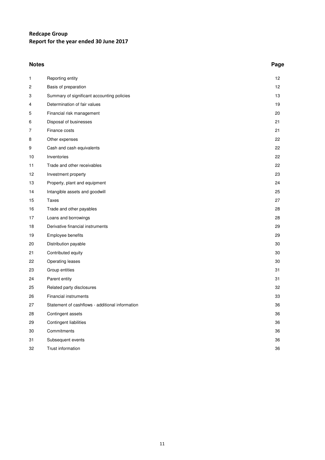## **Redcape Group Report for the year ended 30 June 2017**

### **Notes Page**

| 1  | Reporting entity                                | 12 |
|----|-------------------------------------------------|----|
| 2  | Basis of preparation                            | 12 |
| 3  | Summary of significant accounting policies      | 13 |
| 4  | Determination of fair values                    | 19 |
| 5  | Financial risk management                       | 20 |
| 6  | Disposal of businesses                          | 21 |
| 7  | Finance costs                                   | 21 |
| 8  | Other expenses                                  | 22 |
| 9  | Cash and cash equivalents                       | 22 |
| 10 | Inventories                                     | 22 |
| 11 | Trade and other receivables                     | 22 |
| 12 | Investment property                             | 23 |
| 13 | Property, plant and equipment                   | 24 |
| 14 | Intangible assets and goodwill                  | 25 |
| 15 | <b>Taxes</b>                                    | 27 |
| 16 | Trade and other payables                        | 28 |
| 17 | Loans and borrowings                            | 28 |
| 18 | Derivative financial instruments                | 29 |
| 19 | Employee benefits                               | 29 |
| 20 | Distribution payable                            | 30 |
| 21 | Contributed equity                              | 30 |
| 22 | Operating leases                                | 30 |
| 23 | Group entities                                  | 31 |
| 24 | Parent entity                                   | 31 |
| 25 | Related party disclosures                       | 32 |
| 26 | Financial instruments                           | 33 |
| 27 | Statement of cashflows - additional information | 36 |
| 28 | Contingent assets                               | 36 |
| 29 | Contingent liabilities                          | 36 |
| 30 | Commitments                                     | 36 |
| 31 | Subsequent events                               | 36 |
| 32 | Trust information                               | 36 |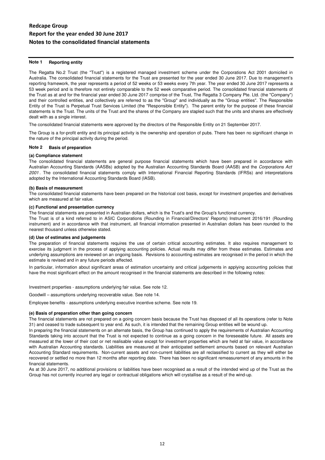#### **Note 1 Reporting entity**

The Regatta No.2 Trust (the "Trust") is a registered managed investment scheme under the Corporations Act 2001 domiciled in Australia. The consolidated financial statements for the Trust are presented for the year ended 30 June 2017. Due to management's reporting framework, the year represents a period of 52 weeks or 53 weeks every 7th year. The year ended 30 June 2017 represents a 53 week period and is therefore not entirely comparable to the 52 week comparative period. The consolidated financial statements of the Trust as at and for the financial year ended 30 June 2017 comprise of the Trust, The Regatta 3 Company Pte. Ltd. (the "Company") and their controlled entities, and collectively are referred to as the "Group" and individually as the "Group entities". The Responsible Entity of the Trust is Perpetual Trust Services Limited (the "Responsible Entity"). The parent entity for the purpose of these financial statements is the Trust. The units of the Trust and the shares of the Company are stapled such that the units and shares are effectively dealt with as a single interest.

The consolidated financial statements were approved by the directors of the Responsible Entity on 21 September 2017.

The Group is a for-profit entity and its principal activity is the ownership and operation of pubs. There has been no significant change in the nature of the principal activity during the period.

#### **Note 2 Basis of preparation**

#### **(a) Compliance statement**

The consolidated financial statements are general purpose financial statements which have been prepared in accordance with Australian Accounting Standards (AASBs) adopted by the Australian Accounting Standards Board (AASB) and the Corporations Act 2001 . The consolidated financial statements comply with International Financial Reporting Standards (IFRSs) and interpretations adopted by the International Accounting Standards Board (IASB).

#### **(b) Basis of measurement**

The consolidated financial statements have been prepared on the historical cost basis, except for investment properties and derivatives which are measured at fair value.

#### **(c) Functional and presentation currency**

The financial statements are presented in Australian dollars, which is the Trust's and the Group's functional currency.

The Trust is of a kind referred to in ASIC Corporations (Rounding in Financial/Directors' Reports) Instrument 2016/191 (Rounding instrument) and in accordance with that instrument, all financial information presented in Australian dollars has been rounded to the nearest thousand unless otherwise stated.

#### **(d) Use of estimates and judgements**

The preparation of financial statements requires the use of certain critical accounting estimates. It also requires management to exercise its judgment in the process of applying accounting policies. Actual results may differ from these estimates. Estimates and underlying assumptions are reviewed on an ongoing basis. Revisions to accounting estimates are recognised in the period in which the estimate is revised and in any future periods affected.

In particular, information about significant areas of estimation uncertainty and critical judgements in applying accounting policies that have the most significant effect on the amount recognised in the financial statements are described in the following notes:

Investment properties - assumptions underlying fair value. See note 12.

Goodwill – assumptions underlying recoverable value. See note 14.

Employee benefits - assumptions underlying executive incentive scheme. See note 19.

#### **(e) Basis of preparation other than going concern**

The financial statements are not prepared on a going concern basis because the Trust has disposed of all its operations (refer to Note 31) and ceased to trade subsequent to year end. As such, it is intended that the remaining Group entities will be wound up.

In preparing the financial statements on an alternate basis, the Group has continued to apply the requirements of Australian Accounting Standards taking into account that the Trust is not expected to continue as a going concern in the foreseeable future. All assets are measured at the lower of their cost or net realisable value except for investment properties which are held at fair value, in accordance with Australian Accounting standards. Liabilities are measured at their anticipated settlement amounts based on relevant Australian Accounting Standard requirements. Non-current assets and non-current liabilities are all reclassified to current as they will either be recovered or settled no more than 12 months after reporting date. There has been no significant remeasurement of any amounts in the financial statements.

As at 30 June 2017, no additional provisions or liabilities have been recognised as a result of the intended wind up of the Trust as the Group has not currently incurred any legal or contractual obligations which will crystallise as a result of the wind-up.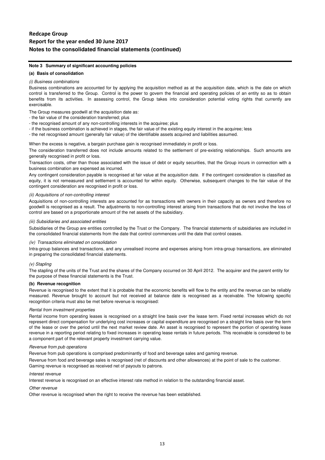#### **Note 3 Summary of significant accounting policies**

#### **(a) Basis of consolidation**

#### (i) Business combinations

Business combinations are accounted for by applying the acquisition method as at the acquisition date, which is the date on which control is transferred to the Group. Control is the power to govern the financial and operating policies of an entity so as to obtain benefits from its activities. In assessing control, the Group takes into consideration potential voting rights that currently are exercisable.

The Group measures goodwill at the acquisition date as:

- the fair value of the consideration transferred; plus
- the recognised amount of any non-controlling interests in the acquiree; plus
- if the business combination is achieved in stages, the fair value of the existing equity interest in the acquiree; less
- the net recognised amount (generally fair value) of the identifiable assets acquired and liabilities assumed.

#### When the excess is negative, a bargain purchase gain is recognised immediately in profit or loss.

The consideration transferred does not include amounts related to the settlement of pre-existing relationships. Such amounts are generally recognised in profit or loss.

Transaction costs, other than those associated with the issue of debt or equity securities, that the Group incurs in connection with a business combination are expensed as incurred.

Any contingent consideration payable is recognised at fair value at the acquisition date. If the contingent consideration is classified as equity, it is not remeasured and settlement is accounted for within equity. Otherwise, subsequent changes to the fair value of the contingent consideration are recognised in profit or loss.

#### (ii) Acquisitions of non-controlling interest

Acquisitions of non-controlling interests are accounted for as transactions with owners in their capacity as owners and therefore no goodwill is recognised as a result. The adjustments to non-controlling interest arising from transactions that do not involve the loss of control are based on a proportionate amount of the net assets of the subsidiary.

#### (iii) Subsidiaries and associated entities

Subsidiaries of the Group are entities controlled by the Trust or the Company. The financial statements of subsidiaries are included in the consolidated financial statements from the date that control commences until the date that control ceases.

#### (iv) Transactions eliminated on consolidation

Intra-group balances and transactions, and any unrealised income and expenses arising from intra-group transactions, are eliminated in preparing the consolidated financial statements.

#### (v) Stapling

The stapling of the units of the Trust and the shares of the Company occurred on 30 April 2012. The acquirer and the parent entity for the purpose of these financial statements is the Trust.

#### **(b) Revenue recognition**

Revenue is recognised to the extent that it is probable that the economic benefits will flow to the entity and the revenue can be reliably measured. Revenue brought to account but not received at balance date is recognised as a receivable. The following specific recognition criteria must also be met before revenue is recognised:

#### Rental from investment properties

Rental income from operating leases is recognised on a straight line basis over the lease term. Fixed rental increases which do not represent direct compensation for underlying cost increases or capital expenditure are recognised on a straight line basis over the term of the lease or over the period until the next market review date. An asset is recognised to represent the portion of operating lease revenue in a reporting period relating to fixed increases in operating lease rentals in future periods. This receivable is considered to be a component part of the relevant property investment carrying value.

#### Revenue from pub operations

Revenue from pub operations is comprised predominantly of food and beverage sales and gaming revenue.

Revenue from food and beverage sales is recognised (net of discounts and other allowances) at the point of sale to the customer.

Gaming revenue is recognised as received net of payouts to patrons.

#### Interest revenue

Interest revenue is recognised on an effective interest rate method in relation to the outstanding financial asset.

#### Other revenue

Other revenue is recognised when the right to receive the revenue has been established.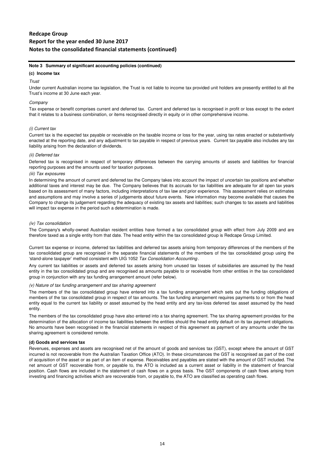#### **Note 3 Summary of significant accounting policies (continued)**

#### **(c) Income tax**

Trust

Under current Australian income tax legislation, the Trust is not liable to income tax provided unit holders are presently entitled to all the Trust's income at 30 June each year.

#### **Company**

Tax expense or benefit comprises current and deferred tax. Current and deferred tax is recognised in profit or loss except to the extent that it relates to a business combination, or items recognised directly in equity or in other comprehensive income.

#### (i) Current tax

Current tax is the expected tax payable or receivable on the taxable income or loss for the year, using tax rates enacted or substantively enacted at the reporting date, and any adjustment to tax payable in respect of previous years. Current tax payable also includes any tax liability arising from the declaration of dividends.

#### (ii) Deferred tax

Deferred tax is recognised in respect of temporary differences between the carrying amounts of assets and liabilities for financial reporting purposes and the amounts used for taxation purposes.

#### (iii) Tax exposures

In determining the amount of current and deferred tax the Company takes into account the impact of uncertain tax positions and whether additional taxes and interest may be due. The Company believes that its accruals for tax liabilities are adequate for all open tax years based on its assessment of many factors, including interpretations of tax law and prior experience. This assessment relies on estimates and assumptions and may involve a series of judgements about future events. New information may become available that causes the Company to change its judgement regarding the adequacy of existing tax assets and liabilities; such changes to tax assets and liabilities will impact tax expense in the period such a determination is made.

#### (iv) Tax consolidation

The Company's wholly-owned Australian resident entities have formed a tax consolidated group with effect from July 2009 and are therefore taxed as a single entity from that date. The head entity within the tax consolidated group is Redcape Group Limited.

Current tax expense or income, deferred tax liabilities and deferred tax assets arising from temporary differences of the members of the tax consolidated group are recognised in the separate financial statements of the members of the tax consolidated group using the 'stand-alone taxpayer' method consistent with UIG 1052 Tax Consolidation Accounting .

Any current tax liabilities or assets and deferred tax assets arising from unused tax losses of subsidiaries are assumed by the head entity in the tax consolidated group and are recognised as amounts payable to or receivable from other entities in the tax consolidated group in conjunction with any tax funding arrangement amount (refer below).

#### (v) Nature of tax funding arrangement and tax sharing agreement

The members of the tax consolidated group have entered into a tax funding arrangement which sets out the funding obligations of members of the tax consolidated group in respect of tax amounts. The tax funding arrangement requires payments to or from the head entity equal to the current tax liability or asset assumed by the head entity and any tax-loss deferred tax asset assumed by the head entity.

The members of the tax consolidated group have also entered into a tax sharing agreement. The tax sharing agreement provides for the determination of the allocation of income tax liabilities between the entities should the head entity default on its tax payment obligations. No amounts have been recognised in the financial statements in respect of this agreement as payment of any amounts under the tax sharing agreement is considered remote.

#### **(d) Goods and services tax**

Revenues, expenses and assets are recognised net of the amount of goods and services tax (GST), except where the amount of GST incurred is not recoverable from the Australian Taxation Office (ATO). In these circumstances the GST is recognised as part of the cost of acquisition of the asset or as part of an item of expense. Receivables and payables are stated with the amount of GST included. The net amount of GST recoverable from, or payable to, the ATO is included as a current asset or liability in the statement of financial position. Cash flows are included in the statement of cash flows on a gross basis. The GST components of cash flows arising from investing and financing activities which are recoverable from, or payable to, the ATO are classified as operating cash flows.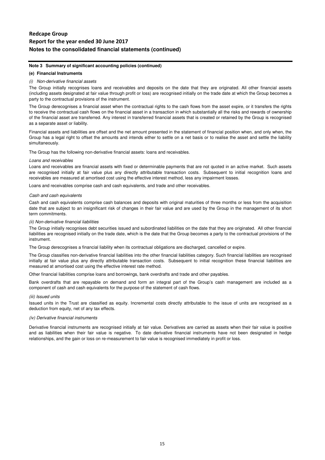#### **Note 3 Summary of significant accounting policies (continued)**

#### **(e) Financial Instruments**

#### (i) Non-derivative financial assets

The Group initially recognises loans and receivables and deposits on the date that they are originated. All other financial assets (including assets designated at fair value through profit or loss) are recognised initially on the trade date at which the Group becomes a party to the contractual provisions of the instrument.

The Group derecognises a financial asset when the contractual rights to the cash flows from the asset expire, or it transfers the rights to receive the contractual cash flows on the financial asset in a transaction in which substantially all the risks and rewards of ownership of the financial asset are transferred. Any interest in transferred financial assets that is created or retained by the Group is recognised as a separate asset or liability.

Financial assets and liabilities are offset and the net amount presented in the statement of financial position when, and only when, the Group has a legal right to offset the amounts and intends either to settle on a net basis or to realise the asset and settle the liability simultaneously.

The Group has the following non-derivative financial assets: loans and receivables.

#### Loans and receivables

Loans and receivables are financial assets with fixed or determinable payments that are not quoted in an active market. Such assets are recognised initially at fair value plus any directly attributable transaction costs. Subsequent to initial recognition loans and receivables are measured at amortised cost using the effective interest method, less any impairment losses.

Loans and receivables comprise cash and cash equivalents, and trade and other receivables.

#### Cash and cash equivalents

Cash and cash equivalents comprise cash balances and deposits with original maturities of three months or less from the acquisition date that are subject to an insignificant risk of changes in their fair value and are used by the Group in the management of its short term commitments.

#### (ii) Non-derivative financial liabilities

The Group initially recognises debt securities issued and subordinated liabilities on the date that they are originated. All other financial liabilities are recognised initially on the trade date, which is the date that the Group becomes a party to the contractual provisions of the instrument.

The Group derecognises a financial liability when its contractual obligations are discharged, cancelled or expire.

The Group classifies non-derivative financial liabilities into the other financial liabilities category. Such financial liabilities are recognised initially at fair value plus any directly attributable transaction costs. Subsequent to initial recognition these financial liabilities are measured at amortised cost using the effective interest rate method.

Other financial liabilities comprise loans and borrowings, bank overdrafts and trade and other payables.

Bank overdrafts that are repayable on demand and form an integral part of the Group's cash management are included as a component of cash and cash equivalents for the purpose of the statement of cash flows.

#### (iii) Issued units

Issued units in the Trust are classified as equity. Incremental costs directly attributable to the issue of units are recognised as a deduction from equity, net of any tax effects.

#### (iv) Derivative financial instruments

Derivative financial instruments are recognised initially at fair value. Derivatives are carried as assets when their fair value is positive and as liabilities when their fair value is negative. To date derivative financial instruments have not been designated in hedge relationships, and the gain or loss on re-measurement to fair value is recognised immediately in profit or loss.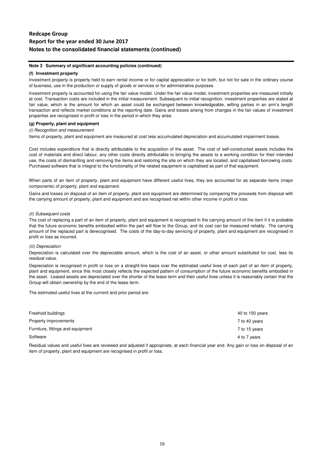#### **Note 3 Summary of significant accounting policies (continued)**

#### **(f) Investment property**

Investment property is property held to earn rental income or for capital appreciation or for both, but not for sale in the ordinary course of business, use in the production or supply of goods or services or for administrative purposes.

Investment property is accounted for using the fair value model. Under the fair value model, investment properties are measured initially at cost. Transaction costs are included in the initial measurement. Subsequent to initial recognition, investment properties are stated at fair value, which is the amount for which an asset could be exchanged between knowledgeable, willing parties in an arm's length transaction and reflects market conditions at the reporting date. Gains and losses arising from changes in the fair values of investment properties are recognised in profit or loss in the period in which they arise.

#### **(g) Property, plant and equipment**

#### (i) Recognition and measurement

Items of property, plant and equipment are measured at cost less accumulated depreciation and accumulated impairment losses.

Cost includes expenditure that is directly attributable to the acquisition of the asset. The cost of self-constructed assets includes the cost of materials and direct labour, any other costs directly attributable to bringing the assets to a working condition for their intended use, the costs of dismantling and removing the items and restoring the site on which they are located, and capitalised borrowing costs. Purchased software that is integral to the functionality of the related equipment is capitalised as part of that equipment.

When parts of an item of property, plant and equipment have different useful lives, they are accounted for as separate items (major components) of property, plant and equipment.

Gains and losses on disposal of an item of property, plant and equipment are determined by comparing the proceeds from disposal with the carrying amount of property, plant and equipment and are recognised net within other income in profit or loss.

#### (ii) Subsequent costs

The cost of replacing a part of an item of property, plant and equipment is recognised in the carrying amount of the item if it is probable that the future economic benefits embodied within the part will flow to the Group, and its cost can be measured reliably. The carrying amount of the replaced part is derecognised. The costs of the day-to-day servicing of property, plant and equipment are recognised in profit or loss as incurred.

#### (iii) Depreciation

Depreciation is calculated over the depreciable amount, which is the cost of an asset, or other amount substituted for cost, less its residual value.

Depreciation is recognised in profit or loss on a straight-line basis over the estimated useful lives of each part of an item of property, plant and equipment, since this most closely reflects the expected pattern of consumption of the future economic benefits embodied in the asset. Leased assets are depreciated over the shorter of the lease term and their useful lives unless it is reasonably certain that the Group will obtain ownership by the end of the lease term.

The estimated useful lives at the currrent and prior period are:

| Freehold buildings                | 40 to 150 years |
|-----------------------------------|-----------------|
| Property improvements             | 7 to 40 years   |
| Furniture, fittings and equipment | 7 to 15 years   |
| Software                          | 4 to 7 years    |

Residual values and useful lives are reviewed and adjusted if appropriate, at each financial year end. Any gain or loss on disposal of an item of property, plant and equipment are recognised in profit or loss.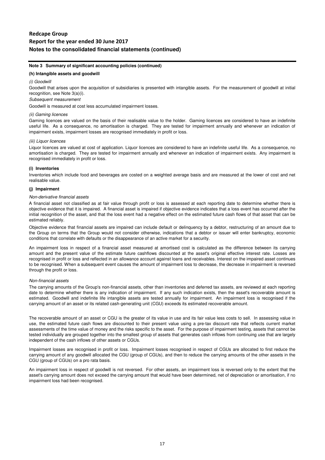#### **Note 3 Summary of significant accounting policies (continued)**

#### **(h) Intangible assets and goodwill**

#### (i) Goodwill

Goodwill that arises upon the acquisition of subsidiaries is presented with intangible assets. For the measurement of goodwill at initial recognition, see Note 3(a)(i).

#### Subsequent measurement

Goodwill is measured at cost less accumulated impairment losses.

#### (ii) Gaming licences

Gaming licences are valued on the basis of their realisable value to the holder. Gaming licences are considered to have an indefinite useful life. As a consequence, no amortisation is charged. They are tested for impairment annually and whenever an indication of impairment exists, impairment losses are recognised immediately in profit or loss.

#### (iii) Liquor licences

Liquor licences are valued at cost of application. Liquor licences are considered to have an indefinite useful life. As a consequence, no amortisation is charged. They are tested for impairment annually and whenever an indication of impairment exists. Any impairment is recognised immediately in profit or loss.

#### **(i) Inventories**

Inventories which include food and beverages are costed on a weighted average basis and are measured at the lower of cost and net realisable value.

#### **(j) Impairment**

#### Non-derivative financial assets

A financial asset not classified as at fair value through profit or loss is assessed at each reporting date to determine whether there is objective evidence that it is impaired. A financial asset is impaired if objective evidence indicates that a loss event has occurred after the initial recognition of the asset, and that the loss event had a negative effect on the estimated future cash flows of that asset that can be estimated reliably.

Objective evidence that financial assets are impaired can include default or delinquency by a debtor, restructuring of an amount due to the Group on terms that the Group would not consider otherwise, indications that a debtor or issuer will enter bankruptcy, economic conditions that correlate with defaults or the disappearance of an active market for a security.

An impairment loss in respect of a financial asset measured at amortised cost is calculated as the difference between its carrying amount and the present value of the estimate future cashflows discounted at the asset's original effective interest rate. Losses are recognised in profit or loss and reflected in an allowance account against loans and receivables. Interest on the impaired asset continues to be recognised. When a subsequent event causes the amount of impairment loss to decrease, the decrease in impairment is reversed through the profit or loss.

#### Non-financial assets

The carrying amounts of the Group's non-financial assets, other than inventories and deferred tax assets, are reviewed at each reporting date to determine whether there is any indication of impairment. If any such indication exists, then the asset's recoverable amount is estimated. Goodwill and indefinite life intangible assets are tested annually for impairment. An impairment loss is recognised if the carrying amount of an asset or its related cash-generating unit (CGU) exceeds its estimated recoverable amount.

The recoverable amount of an asset or CGU is the greater of its value in use and its fair value less costs to sell. In assessing value in use, the estimated future cash flows are discounted to their present value using a pre-tax discount rate that reflects current market assessments of the time value of money and the risks specific to the asset. For the purpose of impairment testing, assets that cannot be tested individually are grouped together into the smallest group of assets that generates cash inflows from continuing use that are largely independent of the cash inflows of other assets or CGUs.

Impairment losses are recognised in profit or loss. Impairment losses recognised in respect of CGUs are allocated to first reduce the carrying amount of any goodwill allocated the CGU (group of CGUs), and then to reduce the carrying amounts of the other assets in the CGU (group of CGUs) on a pro rata basis.

An impairment loss in respect of goodwill is not reversed. For other assets, an impairment loss is reversed only to the extent that the asset's carrying amount does not exceed the carrying amount that would have been determined, net of depreciation or amortisation, if no impairment loss had been recognised.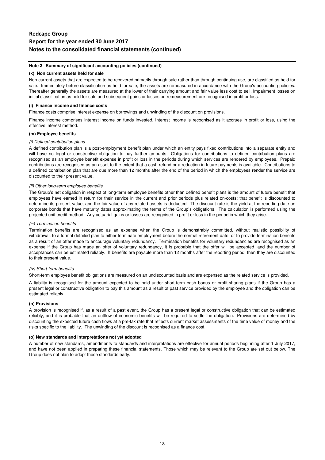#### **Note 3 Summary of significant accounting policies (continued)**

#### **(k) Non current assets held for sale**

Non-current assets that are expected to be recovered primarily through sale rather than through continuing use, are classified as held for sale. Immediately before classification as held for sale, the assets are remeasured in accordance with the Group's accounting policies. Thereafter generally the assets are measured at the lower of their carrying amount and fair value less cost to sell. Impairment losses on initial classification as held for sale and subsequent gains or losses on remeasurement are recognised in profit or loss.

#### **(l) Finance income and finance costs**

Finance costs comprise interest expense on borrowings and unwinding of the discount on provisions.

Finance income comprises interest income on funds invested. Interest income is recognised as it accrues in profit or loss, using the effective interest method.

#### **(m) Employee benefits**

#### (i) Defined contribution plans

A defined contribution plan is a post-employment benefit plan under which an entity pays fixed contributions into a separate entity and will have no legal or constructive obligation to pay further amounts. Obligations for contributions to defined contribution plans are recognised as an employee benefit expense in profit or loss in the periods during which services are rendered by employees. Prepaid contributions are recognised as an asset to the extent that a cash refund or a reduction in future payments is available. Contributions to a defined contribution plan that are due more than 12 months after the end of the period in which the employees render the service are discounted to their present value.

#### (ii) Other long-term employee benefits

The Group's net obligation in respect of long-term employee benefits other than defined benefit plans is the amount of future benefit that employees have earned in return for their service in the current and prior periods plus related on-costs; that benefit is discounted to determine its present value, and the fair value of any related assets is deducted. The discount rate is the yield at the reporting date on corporate bonds that have maturity dates approximating the terms of the Group's obligations. The calculation is performed using the projected unit credit method. Any actuarial gains or losses are recognised in profit or loss in the period in which they arise.

#### (iii) Termination benefits

Termination benefits are recognised as an expense when the Group is demonstrably committed, without realistic possibility of withdrawal, to a formal detailed plan to either terminate employment before the normal retirement date, or to provide termination benefits as a result of an offer made to encourage voluntary redundancy. Termination benefits for voluntary redundancies are recognised as an expense if the Group has made an offer of voluntary redundancy, it is probable that the offer will be accepted, and the number of acceptances can be estimated reliably. If benefits are payable more than 12 months after the reporting period, then they are discounted to their present value.

#### (iv) Short-term benefits

Short-term employee benefit obligations are measured on an undiscounted basis and are expensed as the related service is provided.

A liability is recognised for the amount expected to be paid under short-term cash bonus or profit-sharing plans if the Group has a present legal or constructive obligation to pay this amount as a result of past service provided by the employee and the obligation can be estimated reliably.

#### **(n) Provisions**

A provision is recognised if, as a result of a past event, the Group has a present legal or constructive obligation that can be estimated reliably, and it is probable that an outflow of economic benefits will be required to settle the obligation. Provisions are determined by discounting the expected future cash flows at a pre-tax rate that reflects current market assessments of the time value of money and the risks specific to the liability. The unwinding of the discount is recognised as a finance cost.

#### **(o) New standards and interpretations not yet adopted**

A number of new standards, amendments to standards and interpretations are effective for annual periods beginning after 1 July 2017, and have not been applied in preparing these financial statements. Those which may be relevant to the Group are set out below. The Group does not plan to adopt these standards early.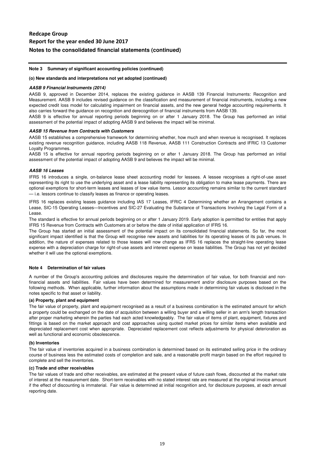#### **Note 3 Summary of significant accounting policies (continued)**

#### **(o) New standards and interpretations not yet adopted (continued)**

#### **AASB 9 Financial Instruments (2014)**

AASB 9, approved in December 2014, replaces the existing guidance in AASB 139 Financial Instruments: Recognition and Measurement. AASB 9 includes revised guidance on the classification and measurement of financial instruments, including a new expected credit loss model for calculating impairment on financial assets, and the new general hedge accounting requirements. It also carries forward the guidance on recognition and derecognition of financial instruments from AASB 139.

AASB 9 is effective for annual reporting periods beginning on or after 1 January 2018. The Group has performed an initial assessment of the potential impact of adopting AASB 9 and believes the impact will be minimal.

#### **AASB 15 Revenue from Contracts with Customers**

AASB 15 establishes a comprehensive framework for determining whether, how much and when revenue is recognised. It replaces existing revenue recognition guidance, including AASB 118 Revenue, AASB 111 Construction Contracts and IFRIC 13 Customer Loyalty Programmes.

AASB 15 is effective for annual reporting periods beginning on or after 1 January 2018. The Group has performed an initial assessment of the potential impact of adopting AASB 9 and believes the impact will be minimal.

#### **AASB 16 Leases**

IFRS 16 introduces a single, on-balance lease sheet accounting model for lessees. A lessee recognises a right-of-use asset representing its right to use the underlying asset and a lease liability representing its obligation to make lease payments. There are optional exemptions for short-term leases and leases of low value items. Lessor accounting remains similar to the current standard — i.e. lessors continue to classify leases as finance or operating leases.

IFRS 16 replaces existing leases guidance including IAS 17 Leases, IFRIC 4 Determining whether an Arrangement contains a Lease, SIC-15 Operating Leases—Incentives and SIC-27 Evaluating the Substance of Transactions Involving the Legal Form of a Lease.

The standard is effective for annual periods beginning on or after 1 January 2019. Early adoption is permitted for entities that apply IFRS 15 Revenue from Contracts with Customers at or before the date of initial application of IFRS 16.

The Group has started an initial assessment of the potential impact on its consolidated financial statements. So far, the most significant impact identified is that the Group will recognise new assets and liabilities for its operating leases of its pub venues. In addition, the nature of expenses related to those leases will now change as IFRS 16 replaces the straight-line operating lease expense with a depreciation charge for right-of-use assets and interest expense on lease liabilities. The Group has not yet decided whether it will use the optional exemptions.

#### **Note 4 Determination of fair values**

A number of the Group's accounting policies and disclosures require the determination of fair value, for both financial and nonfinancial assets and liabilities. Fair values have been determined for measurement and/or disclosure purposes based on the following methods. When applicable, further information about the assumptions made in determining fair values is disclosed in the notes specific to that asset or liability.

#### **(a) Property, plant and equipment**

The fair value of property, plant and equipment recognised as a result of a business combination is the estimated amount for which a property could be exchanged on the date of acquisition between a willing buyer and a willing seller in an arm's length transaction after proper marketing wherein the parties had each acted knowledgeably. The fair value of items of plant, equipment, fixtures and fittings is based on the market approach and cost approaches using quoted market prices for similar items when available and depreciated replacement cost when appropriate. Depreciated replacement cost reflects adjustments for physical deterioration as well as functional and economic obsolescence.

#### **(b) Inventories**

The fair value of inventories acquired in a business combination is determined based on its estimated selling price in the ordinary course of business less the estimated costs of completion and sale, and a reasonable profit margin based on the effort required to complete and sell the inventories.

#### **(c) Trade and other receivables**

The fair values of trade and other receivables, are estimated at the present value of future cash flows, discounted at the market rate of interest at the measurement date. Short-term receivables with no stated interest rate are measured at the original invoice amount if the effect of discounting is immaterial. Fair value is determined at initial recognition and, for disclosure purposes, at each annual reporting date.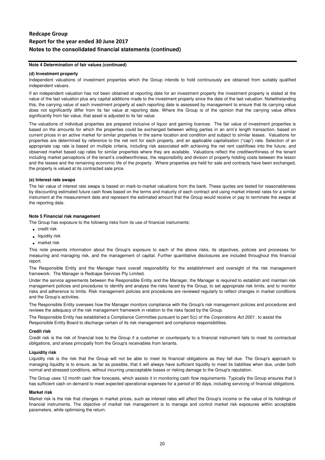#### **Note 4 Determination of fair values (continued)**

#### **(d) Investment property**

Independent valuations of investment properties which the Group intends to hold continuously are obtained from suitably qualified independent valuers.

If an independent valuation has not been obtained at reporting date for an investment property the investment property is stated at the value of the last valuation plus any capital additions made to the investment property since the date of the last valuation. Notwithstanding this, the carrying value of each investment property at each reporting date is assessed by management to ensure that its carrying value does not significantly differ from its fair value at reporting date. Where the Group is of the opinion that the carrying value differs significantly from fair value, that asset is adjusted to its fair value.

The valuations of individual properties are prepared inclusive of liquor and gaming licences. The fair value of investment properties is based on the amounts for which the properties could be exchanged between willing parties in an arm's length transaction, based on current prices in an active market for similar properties in the same location and condition and subject to similar leases. Valuations for properties are determined by reference to the net rent for each property, and an applicable capitalisation ("cap") rate. Selection of an appropriate cap rate is based on multiple criteria, including risk associated with achieving the net rent cashflows into the future, and observed market based cap rates for similar properties where they are available. Valuations reflect the creditworthiness of the tenant including market perceptions of the tenant's creditworthiness, the responsibility and division of property holding costs between the lessor and the lessee and the remaining economic life of the property. Where properties are held for sale and contracts have been exchanged, the property is valued at its contracted sale price.

#### **(e) Interest rate swaps**

The fair value of interest rate swaps is based on mark-to-market valuations from the bank. These quotes are tested for reasonableness by discounting estimated future cash flows based on the terms and maturity of each contract and using market interest rates for a similar instrument at the measurement date and represent the estimated amount that the Group would receive or pay to terminate the swaps at the reporting date.

#### **Note 5 Financial risk management**

The Group has exposure to the following risks from its use of financial instruments:

- credit risk
- liquidity risk
- market risk

This note presents information about the Group's exposure to each of the above risks, its objectives, policies and processes for measuring and managing risk, and the management of capital. Further quantitative disclosures are included throughout this financial report.

The Responsible Entity and the Manager have overall responsibility for the establishment and oversight of the risk management framework. The Manager is Redcape Services Pty Limited.

Under the service agreements between the Responsible Entity and the Manager, the Manager is required to establish and maintain risk management policies and procedures to identify and analyse the risks faced by the Group, to set appropriate risk limits, and to monitor risks and adherence to limits. Risk management policies and procedures are reviewed regularly to reflect changes in market conditions and the Group's activities.

The Responsible Entity oversees how the Manager monitors compliance with the Group's risk management policies and procedures and reviews the adequacy of the risk management framework in relation to the risks faced by the Group.

The Responsible Entity has established a Compliance Committee pursuant to part 5(c) of the Corporations Act 2001, to assist the Responsible Entity Board to discharge certain of its risk management and compliance responsibilities.

#### **Credit risk**

Credit risk is the risk of financial loss to the Group if a customer or counterparty to a financial instrument fails to meet its contractual obligations, and arises principally from the Group's receivables from tenants.

#### **Liquidity risk**

Liquidity risk is the risk that the Group will not be able to meet its financial obligations as they fall due. The Group's approach to managing liquidity is to ensure, as far as possible, that it will always have sufficient liquidity to meet its liabilities when due, under both normal and stressed conditions, without incurring unacceptable losses or risking damage to the Group's reputation.

The Group uses 12 month cash flow forecasts, which assists it in monitoring cash flow requirements. Typically the Group ensures that it has sufficient cash on demand to meet expected operational expenses for a period of 90 days, including servicing of financial obligations.

#### **Market risk**

Market risk is the risk that changes in market prices, such as interest rates will affect the Group's income or the value of its holdings of financial instruments. The objective of market risk management is to manage and control market risk exposures within acceptable parameters, while optimising the return.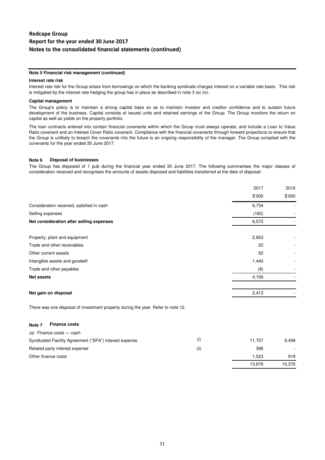#### **Note 5 Financial risk management (continued)**

#### **Interest rate risk**

Interest rate risk for the Group arises from borrowings on which the banking syndicate charges interest on a variable rate basis. This risk is mitigated by the interest rate hedging the group has in place as described in note 3 (e) (iv).

#### **Capital management**

The Group's policy is to maintain a strong capital base so as to maintain investor and creditor confidence and to sustain future development of the business. Capital consists of issued units and retained earnings of the Group. The Group monitors the return on capital as well as yields on the property portfolio.

The loan contracts entered into contain financial covenants within which the Group must always operate, and include a Loan to Value Ratio covenant and an Interest Cover Ratio covenant. Compliance with the financial covenants through forward projections to ensure that the Group is unlikely to breach the covenants into the future is an ongoing responsibility of the manager. The Group complied with the covenants for the year ended 30 June 2017.

#### **Note 6 Disposal of businesses**

The Group has disposed of 1 pub during the financial year ended 30 June 2017. The following summarises the major classes of consideration received and recognises the amounts of assets disposed and liabilities transferred at the date of disposal:

|      | 2017                                                                             | 2016   |
|------|----------------------------------------------------------------------------------|--------|
|      | \$'000                                                                           | \$'000 |
|      | 6,734                                                                            |        |
|      | (162)                                                                            |        |
|      | 6,572                                                                            |        |
|      | 2,653                                                                            |        |
|      | 22                                                                               |        |
|      | 52                                                                               |        |
|      | 1,440                                                                            |        |
|      | (8)                                                                              |        |
|      | 4,159                                                                            |        |
|      | 2,413                                                                            |        |
|      |                                                                                  |        |
|      |                                                                                  |        |
|      |                                                                                  |        |
| (i)  | 11,757                                                                           | 9,458  |
| (ii) | 396                                                                              |        |
|      | 1,523                                                                            | 918    |
|      | There was one disposal of investment property during the year. Refer to note 12. |        |

13,676 10,376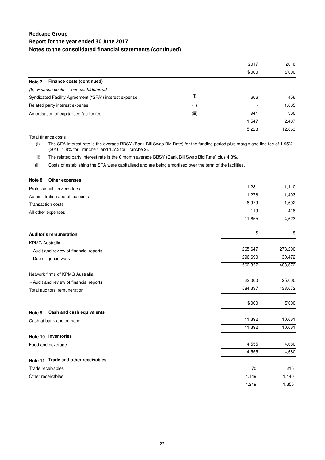|                                                        |       | 2017   | 2016   |
|--------------------------------------------------------|-------|--------|--------|
|                                                        |       | \$'000 | \$'000 |
| Finance costs (continued)<br>Note 7                    |       |        |        |
| (b) Finance costs - non-cash/deferred                  |       |        |        |
| Syndicated Facility Agreement ("SFA") interest expense | (i)   | 606    | 456    |
| Related party interest expense                         | (ii)  |        | 1,665  |
| Amortisation of capitalised facility fee               | (iii) | 941    | 366    |
|                                                        |       | 1,547  | 2,487  |
|                                                        |       | 15,223 | 12,863 |
|                                                        |       |        |        |

Total finance costs

(i) The SFA interest rate is the average BBSY (Bank Bill Swap Bid Rate) for the funding period plus margin and line fee of 1.95% (2016: 1.8% for Tranche 1 and 1.5% for Tranche 2).

(ii) The related party interest rate is the 6 month average BBSY (Bank Bill Swap Bid Rate) plus 4.8%.

(iii) Costs of establishing the SFA were capitalised and are being amortised over the term of the facilities.

| Note 8<br><b>Other expenses</b>         |         |         |
|-----------------------------------------|---------|---------|
| Professional services fees              | 1,281   | 1,110   |
| Administration and office costs         | 1,276   | 1,403   |
| <b>Transaction costs</b>                | 8,979   | 1,692   |
| All other expenses                      | 119     | 418     |
|                                         | 11,655  | 4,623   |
| Auditor's remuneration                  | \$      | \$      |
| <b>KPMG Australia</b>                   |         |         |
| - Audit and review of financial reports | 265,647 | 278,200 |
| - Due diligence work                    | 296,690 | 130,472 |
|                                         | 562,337 | 408,672 |
| Network firms of KPMG Australia         |         |         |
| - Audit and review of financial reports | 22,000  | 25,000  |
| Total auditors' remuneration            | 584,337 | 433,672 |
|                                         | \$'000  | \$'000  |
| Cash and cash equivalents<br>Note 9     |         |         |
| Cash at bank and on hand                | 11,392  | 10,661  |
|                                         | 11,392  | 10,661  |
| Note 10 Inventories                     |         |         |
| Food and beverage                       | 4,555   | 4,680   |
|                                         | 4,555   | 4,680   |
| Trade and other receivables<br>Note 11  |         |         |
| Trade receivables                       | 70      | 215     |
| Other receivables                       | 1,149   | 1,140   |
|                                         | 1,219   | 1,355   |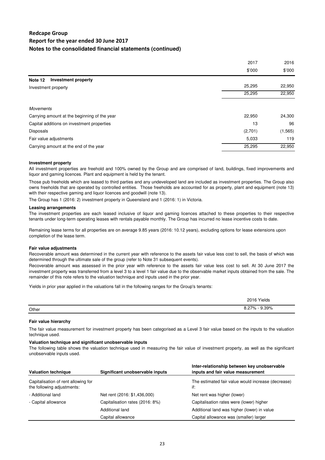|                                              | 2017    | 2016     |
|----------------------------------------------|---------|----------|
|                                              | \$'000  | \$'000   |
| <b>Investment property</b><br>Note 12        |         |          |
| Investment property                          | 25,295  | 22,950   |
|                                              | 25,295  | 22,950   |
| <b>Movements</b>                             |         |          |
| Carrying amount at the beginning of the year | 22,950  | 24,300   |
| Capital additions on investment properties   | 13      | 96       |
| <b>Disposals</b>                             | (2,701) | (1, 565) |
| Fair value adjustments                       | 5,033   | 119      |
| Carrying amount at the end of the year       | 25,295  | 22,950   |

#### **Investment property**

All investment properties are freehold and 100% owned by the Group and are comprised of land, buildings, fixed improvements and liquor and gaming licences. Plant and equipment is held by the tenant.

Those pub freeholds which are leased to third parties and any undeveloped land are included as investment properties. The Group also owns freeholds that are operated by controlled entities. Those freeholds are accounted for as property, plant and equipment (note 13) with their respective gaming and liquor licences and goodwill (note 13).

The Group has 1 (2016: 2) investment property in Queensland and 1 (2016: 1) in Victoria.

#### **Leasing arrangements**

The investment properties are each leased inclusive of liquor and gaming licences attached to these properties to their respective tenants under long-term operating leases with rentals payable monthly. The Group has incurred no lease incentive costs to date.

Remaining lease terms for all properties are on average 9.85 years (2016: 10.12 years), excluding options for lease extensions upon completion of the lease term.

#### **Fair value adjustments**

Recoverable amount was determined in the current year with reference to the assets fair value less cost to sell, the basis of which was determined through the ultimate sale of the group (refer to Note 31 subsequent events).

Recoverable amount was assessed in the prior year with reference to the assets fair value less cost to sell. At 30 June 2017 the investment property was transferred from a level 3 to a level 1 fair value due to the observable market inputs obtained from the sale. The remainder of this note refers to the valuation technique and inputs used in the prior year.

Yields in prior year applied in the valuations fall in the following ranges for the Group's tenants:

|       | 2016 Yields    |
|-------|----------------|
| Other | 9.39%<br>8.27% |

#### **Fair value hierarchy**

The fair value measurement for investment property has been categorised as a Level 3 fair value based on the inputs to the valuation technique used.

#### **Valuation technique and significant unobservable inputs**

The following table shows the valuation technique used in measuring the fair value of investment property, as well as the significant unobservable inputs used.

| <b>Valuation technique</b>                                        | Significant unobservable inputs | Inter-relationship between key unobservable<br>inputs and fair value measurement |
|-------------------------------------------------------------------|---------------------------------|----------------------------------------------------------------------------------|
| Capitalisation of rent allowing for<br>the following adjustments: |                                 | The estimated fair value would increase (decrease)<br>if:                        |
| - Additional land                                                 | Net rent (2016: \$1,436,000)    | Net rent was higher (lower)                                                      |
| - Capital allowance                                               | Capitalisation rates (2016: 8%) | Capitalisation rates were (lower) higher                                         |
|                                                                   | Additional land                 | Additional land was higher (lower) in value                                      |
|                                                                   | Capital allowance               | Capital allowance was (smaller) larger                                           |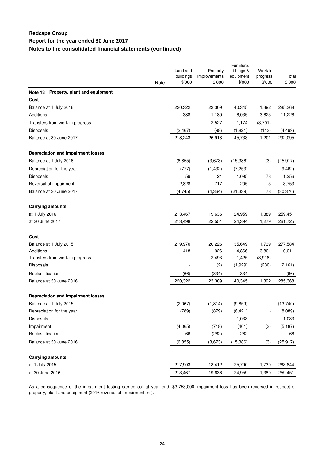|                                       | <b>Note</b> | Land and<br>buildings<br>\$'000 | Property<br>Improvements<br>\$'000 | Furniture,<br>fittings &<br>equipment<br>\$'000 | Work in<br>progress<br>\$'000 | Total<br>\$'000 |
|---------------------------------------|-------------|---------------------------------|------------------------------------|-------------------------------------------------|-------------------------------|-----------------|
| Note 13 Property, plant and equipment |             |                                 |                                    |                                                 |                               |                 |
| Cost                                  |             |                                 |                                    |                                                 |                               |                 |
| Balance at 1 July 2016                |             | 220,322                         | 23,309                             | 40,345                                          | 1,392                         | 285,368         |
| Additions                             |             | 388                             | 1,180                              | 6,035                                           | 3,623                         | 11,226          |
| Transfers from work in progress       |             |                                 | 2,527                              | 1,174                                           | (3,701)                       |                 |
| Disposals                             |             | (2, 467)                        | (98)                               | (1,821)                                         | (113)                         | (4, 499)        |
| Balance at 30 June 2017               |             | 218,243                         | 26,918                             | 45,733                                          | 1,201                         | 292,095         |
| Depreciation and impairment losses    |             |                                 |                                    |                                                 |                               |                 |
| Balance at 1 July 2016                |             | (6, 855)                        | (3,673)                            | (15,386)                                        | (3)                           | (25, 917)       |
| Depreciation for the year             |             | (777)                           | (1, 432)                           | (7, 253)                                        | $\overline{\phantom{a}}$      | (9, 462)        |
| Disposals                             |             | 59                              | 24                                 | 1,095                                           | 78                            | 1,256           |
| Reversal of impairment                |             | 2,828                           | 717                                | 205                                             | 3                             | 3,753           |
| Balance at 30 June 2017               |             | (4,745)                         | (4, 364)                           | (21, 339)                                       | 78                            | (30, 370)       |
| <b>Carrying amounts</b>               |             |                                 |                                    |                                                 |                               |                 |
| at 1 July 2016                        |             | 213,467                         | 19,636                             | 24,959                                          | 1,389                         | 259,451         |
| at 30 June 2017                       |             | 213,498                         | 22,554                             | 24,394                                          | 1,279                         | 261,725         |
| Cost                                  |             |                                 |                                    |                                                 |                               |                 |
| Balance at 1 July 2015                |             | 219,970                         | 20,226                             | 35,649                                          | 1,739                         | 277,584         |
| Additions                             |             | 418                             | 926                                | 4,866                                           | 3,801                         | 10,011          |
| Transfers from work in progress       |             | ÷                               | 2,493                              | 1,425                                           | (3,918)                       |                 |
| Disposals                             |             |                                 | (2)                                | (1,929)                                         | (230)                         | (2, 161)        |
| Reclassification                      |             | (66)                            | (334)                              | 334                                             | $\frac{1}{2}$                 | (66)            |
| Balance at 30 June 2016               |             | 220,322                         | 23,309                             | 40,345                                          | 1,392                         | 285,368         |
| Depreciation and impairment losses    |             |                                 |                                    |                                                 |                               |                 |
| Balance at 1 July 2015                |             | (2,067)                         | (1, 814)                           | (9, 859)                                        |                               | (13, 740)       |
| Depreciation for the year             |             | (789)                           | (879)                              | (6, 421)                                        | $\blacksquare$                | (8,089)         |
| Disposals                             |             |                                 |                                    | 1,033                                           |                               | 1,033           |
| Impairment                            |             | (4,065)                         | (718)                              | (401)                                           | (3)                           | (5, 187)        |
| Reclassification                      |             | 66                              | (262)                              | 262                                             |                               | 66              |
| Balance at 30 June 2016               |             | (6, 855)                        | (3,673)                            | (15, 386)                                       | (3)                           | (25, 917)       |
| <b>Carrying amounts</b>               |             |                                 |                                    |                                                 |                               |                 |
| at 1 July 2015                        |             | 217,903                         | 18,412                             | 25,790                                          | 1,739                         | 263,844         |
| at 30 June 2016                       |             | 213,467                         | 19,636                             | 24,959                                          | 1,389                         | 259,451         |
|                                       |             |                                 |                                    |                                                 |                               |                 |

As a consequence of the impairment testing carried out at year end, \$3,753,000 impairment loss has been reversed in respect of property, plant and equipment (2016 reversal of impairment: nil).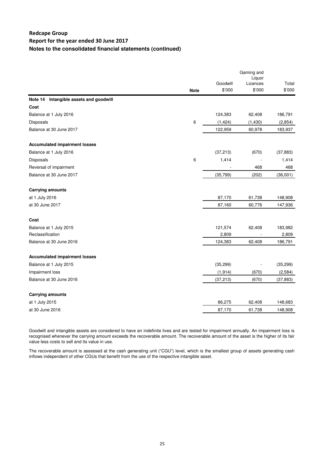|                                        |             | Gaming and |                    |           |
|----------------------------------------|-------------|------------|--------------------|-----------|
|                                        |             | Goodwill   | Liquor<br>Licences | Total     |
|                                        | <b>Note</b> | \$'000     | \$'000             | \$'000    |
| Note 14 Intangible assets and goodwill |             |            |                    |           |
| Cost                                   |             |            |                    |           |
| Balance at 1 July 2016                 |             | 124,383    | 62,408             | 186,791   |
| Disposals                              | 6           | (1, 424)   | (1, 430)           | (2, 854)  |
| Balance at 30 June 2017                |             | 122,959    | 60,978             | 183,937   |
| <b>Accumulated impairment losses</b>   |             |            |                    |           |
| Balance at 1 July 2016                 |             | (37, 213)  | (670)              | (37, 883) |
| Disposals                              | 6           | 1,414      |                    | 1,414     |
| Reversal of impairment                 |             |            | 468                | 468       |
| Balance at 30 June 2017                |             | (35, 799)  | (202)              | (36,001)  |
| <b>Carrying amounts</b>                |             |            |                    |           |
| at 1 July 2016                         |             | 87,170     | 61,738             | 148,908   |
| at 30 June 2017                        |             | 87,160     | 60,776             | 147,936   |
| Cost                                   |             |            |                    |           |
| Balance at 1 July 2015                 |             | 121,574    | 62,408             | 183,982   |
| Reclassification                       |             | 2,809      | $\blacksquare$     | 2,809     |
| Balance at 30 June 2016                |             | 124,383    | 62,408             | 186,791   |
| <b>Accumulated impairment losses</b>   |             |            |                    |           |
| Balance at 1 July 2015                 |             | (35, 299)  |                    | (35, 299) |
| Impairment loss                        |             | (1, 914)   | (670)              | (2, 584)  |
| Balance at 30 June 2016                |             | (37, 213)  | (670)              | (37, 883) |
| <b>Carrying amounts</b>                |             |            |                    |           |
| at 1 July 2015                         |             | 86,275     | 62,408             | 148,683   |
| at 30 June 2016                        |             | 87,170     | 61,738             | 148,908   |

Goodwill and intangible assets are considered to have an indefinite lives and are tested for impairment annually. An impairment loss is recognised whenever the carrying amount exceeds the recoverable amount. The recoverable amount of the asset is the higher of its fair value less costs to sell and its value in use.

The recoverable amount is assessed at the cash generating unit ("CGU") level, which is the smallest group of assets generating cash inflows independent of other CGUs that benefit from the use of the respective intangible asset.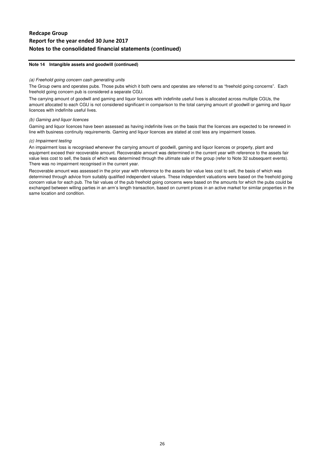#### **Note 14 Intangible assets and goodwill (continued)**

#### (a) Freehold going concern cash generating units

The Group owns and operates pubs. Those pubs which it both owns and operates are referred to as "freehold going concerns". Each freehold going concern pub is considered a separate CGU.

The carrying amount of goodwill and gaming and liquor licences with indefinite useful lives is allocated across multiple CGUs, the amount allocated to each CGU is not considered significant in comparison to the total carrying amount of goodwill or gaming and liquor licences with indefinite useful lives.

#### (b) Gaming and liquor licences

Gaming and liquor licences have been assessed as having indefinite lives on the basis that the licences are expected to be renewed in line with business continuity requirements. Gaming and liquor licences are stated at cost less any impairment losses.

#### (c) Impairment testing

An impairment loss is recognised whenever the carrying amount of goodwill, gaming and liquor licences or property, plant and equipment exceed their recoverable amount. Recoverable amount was determined in the current year with reference to the assets fair value less cost to sell, the basis of which was determined through the ultimate sale of the group (refer to Note 32 subsequent events). There was no impairment recognised in the current year.

Recoverable amount was assessed in the prior year with reference to the assets fair value less cost to sell, the basis of which was determined through advice from suitably qualified independent valuers. These independent valuations were based on the freehold going concern value for each pub. The fair values of the pub freehold going concerns were based on the amounts for which the pubs could be exchanged between willing parties in an arm's length transaction, based on current prices in an active market for similar properties in the same location and condition.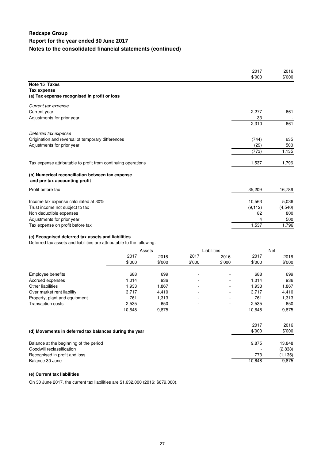| 2017   | 2016                        |
|--------|-----------------------------|
| \$'000 | \$'000                      |
|        |                             |
|        |                             |
|        |                             |
|        |                             |
| 2,277  | 661                         |
| 33     |                             |
| 2,310  | 661                         |
|        |                             |
|        | 635                         |
| (29)   | 500                         |
| (773)  | 1,135                       |
| 1,537  | 1,796                       |
|        |                             |
| 35,209 | 16,786                      |
|        | 5,036                       |
|        | (4, 540)                    |
| 82     | 800                         |
| 4      | 500                         |
| 1,537  | 1,796                       |
|        | (744)<br>10,563<br>(9, 112) |

### **(c) Recognised deferred tax assets and liabilities**

Deferred tax assets and liabilities are attributable to the following:

|                               | Assets |        | Liabilities |                          | Net    |        |
|-------------------------------|--------|--------|-------------|--------------------------|--------|--------|
|                               | 2017   | 2016   | 2017        | 2016                     | 2017   | 2016   |
|                               | \$'000 | \$'000 | \$'000      | \$'000                   | \$'000 | \$'000 |
| Employee benefits             | 688    | 699    |             |                          | 688    | 699    |
| Accrued expenses              | 1,014  | 936    | ۰           | $\overline{\phantom{a}}$ | 1,014  | 936    |
| Other liabilities             | 1,933  | 1,867  |             | ۰.                       | 1,933  | 1,867  |
| Over market rent liability    | 3,717  | 4,410  |             | ۰.                       | 3,717  | 4,410  |
| Property, plant and equipment | 761    | 1,313  | ۰           | $\overline{\phantom{a}}$ | 761    | 1,313  |
| <b>Transaction costs</b>      | 2,535  | 650    | ۰           |                          | 2,535  | 650    |
|                               | 10,648 | 9,875  |             |                          | 10,648 | 9,875  |
|                               |        |        |             |                          |        |        |

|                                                        | 2017   | 2016    |
|--------------------------------------------------------|--------|---------|
| (d) Movements in deferred tax balances during the year | \$'000 | \$'000  |
| Balance at the beginning of the period                 | 9.875  | 13.848  |
| Goodwill reclassification                              | ۰      | (2,838) |
| Recognised in profit and loss                          | 773    | (1,135) |
| Balance 30 June                                        | 10.648 | 9.875   |

### **(e) Current tax liabilities**

On 30 June 2017, the current tax liabilities are \$1,632,000 (2016: \$679,000).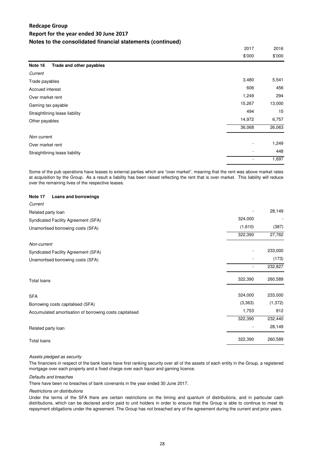|                                     | 2017   | 2016   |
|-------------------------------------|--------|--------|
|                                     | \$'000 | \$'000 |
| Trade and other payables<br>Note 16 |        |        |
| Current                             |        |        |
| Trade payables                      | 3,480  | 5,541  |
| Accrued interest                    | 606    | 456    |
| Over market rent                    | 1,249  | 294    |
| Gaming tax payable                  | 15,267 | 13,000 |
| Straightlining lease liability      | 494    | 15     |
| Other payables                      | 14,972 | 6,757  |
|                                     | 36,068 | 26,063 |
| Non current                         |        |        |
| Over market rent                    |        | 1,249  |
| Straightlining lease liability      |        | 448    |
|                                     |        | 1,697  |

Some of the pub operations have leases to external parties which are "over market", meaning that the rent was above market rates at acquisition by the Group. As a result a liability has been raised reflecting the rent that is over market. This liability will reduce over the remaining lives of the respective leases.

#### **Note 17 Loans and borrowings**

|          | 28,149   |
|----------|----------|
| 324,000  |          |
| (1,610)  | (387)    |
| 322,390  | 27,762   |
|          |          |
|          | 233,000  |
|          | (173)    |
|          | 232,827  |
| 322,390  | 260,589  |
| 324,000  | 233,000  |
| (3, 363) | (1, 372) |
| 1,753    | 812      |
| 322,390  | 232,440  |
|          | 28,149   |
| 322,390  | 260,589  |
|          |          |

#### Assets pledged as security

The financiers in respect of the bank loans have first ranking security over all of the assets of each entity in the Group, a registered mortgage over each property and a fixed charge over each liquor and gaming licence.

#### Defaults and breaches

There have been no breaches of bank covenants in the year ended 30 June 2017.

#### Restrictions on distributions

Under the terms of the SFA there are certain restrictions on the timing and quantum of distributions, and in particular cash distributions, which can be declared and/or paid to unit holders in order to ensure that the Group is able to continue to meet its repayment obligations under the agreement. The Group has not breached any of the agreement during the current and prior years.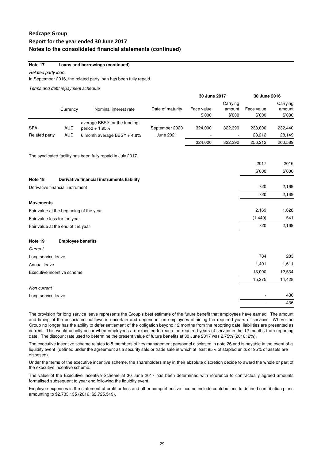#### **Note 17 Loans and borrowings (continued)**

Related party loan

In September 2016, the related party loan has been fully repaid.

Terms and debt repayment schedule

|                                         |                          |                                                             |                  | 30 June 2017         |                              | 30 June 2016         |                              |
|-----------------------------------------|--------------------------|-------------------------------------------------------------|------------------|----------------------|------------------------------|----------------------|------------------------------|
|                                         | Currency                 | Nominal interest rate                                       | Date of maturity | Face value<br>\$'000 | Carrying<br>amount<br>\$'000 | Face value<br>\$'000 | Carrying<br>amount<br>\$'000 |
|                                         |                          | average BBSY for the funding                                |                  |                      |                              |                      |                              |
| <b>SFA</b>                              | <b>AUD</b>               | period + 1.95%                                              | September 2020   | 324,000              | 322,390                      | 233,000              | 232,440                      |
| Related party                           | <b>AUD</b>               | 6 month average BBSY + 4.8%                                 | <b>June 2021</b> |                      |                              | 23,212               | 28,149                       |
|                                         |                          |                                                             |                  | 324,000              | 322,390                      | 256,212              | 260,589                      |
|                                         |                          | The syndicated facility has been fully repaid in July 2017. |                  |                      |                              |                      |                              |
|                                         |                          |                                                             |                  |                      |                              | 2017                 | 2016                         |
|                                         |                          |                                                             |                  |                      |                              | \$'000               | \$'000                       |
| Note 18                                 |                          | Derivative financial instruments liability                  |                  |                      |                              |                      |                              |
| Derivative financial instrument         |                          |                                                             |                  |                      |                              | 720                  | 2,169                        |
|                                         |                          |                                                             |                  |                      |                              | 720                  | 2,169                        |
| <b>Movements</b>                        |                          |                                                             |                  |                      |                              |                      |                              |
| Fair value at the beginning of the year |                          |                                                             |                  |                      |                              | 2,169                | 1,628                        |
| Fair value loss for the year            |                          |                                                             |                  |                      |                              | (1, 449)             | 541                          |
| Fair value at the end of the year       |                          |                                                             |                  |                      |                              | 720                  | 2,169                        |
| Note 19                                 | <b>Employee benefits</b> |                                                             |                  |                      |                              |                      |                              |
| Current                                 |                          |                                                             |                  |                      |                              |                      |                              |
| Long service leave                      |                          |                                                             |                  |                      |                              | 784                  | 283                          |
| Annual leave                            |                          |                                                             |                  |                      |                              | 1,491                | 1,611                        |
| Executive incentive scheme              |                          |                                                             |                  |                      |                              | 13,000               | 12,534                       |
|                                         |                          |                                                             |                  |                      |                              | 15,275               | 14,428                       |
| Non current                             |                          |                                                             |                  |                      |                              |                      |                              |
| Long service leave                      |                          |                                                             |                  |                      |                              |                      | 436                          |
|                                         |                          |                                                             |                  |                      |                              |                      | 436                          |

The provision for long service leave represents the Group's best estimate of the future benefit that employees have earned. The amount and timing of the associated outflows is uncertain and dependant on employees attaining the required years of services. Where the Group no longer has the ability to defer settlement of the obligation beyond 12 months from the reporting date, liabilities are presented as current. This would usually occur when employees are expected to reach the required years of service in the 12 months from reporting date. The discount rate used to determine the present value of future benefits at 30 June 2017 was 2.75% (2016: 2%).

The executive incentive scheme relates to 5 members of key management personnel disclosed in note 26 and is payable in the event of a liquidity event (defined under the agreement as a security sale or trade sale in which at least 95% of stapled units or 95% of assets are disposed).

Under the terms of the executive incentive scheme, the shareholders may in their absolute discretion decide to award the whole or part of the executive incentive scheme.

The value of the Executive Incentive Scheme at 30 June 2017 has been determined with reference to contractually agreed amounts formalised subsequent to year end following the liquidity event.

Employee expenses in the statement of profit or loss and other comprehensive income include contributions to defined contribution plans amounting to \$2,733,135 (2016: \$2,725,519).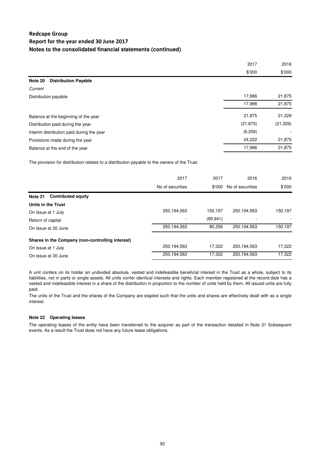|                                           | 2017      | 2016      |
|-------------------------------------------|-----------|-----------|
|                                           | \$'000    | \$'000    |
| <b>Distribution Payable</b><br>Note 20    |           |           |
| Current                                   |           |           |
| Distribution payable                      | 17,966    | 21,875    |
|                                           | 17,966    | 21,875    |
| Balance at the beginning of the year      | 21,875    | 21,329    |
| Distribution paid during the year         | (21, 875) | (21, 329) |
| Interim distribution paid during the year | (6,256)   |           |
| Provisions made during the year           | 24,222    | 21,875    |
| Balance at the end of the year            | 17,966    | 21,875    |

The provision for distribution relates to a distribution payable to the owners of the Trust.

|                                                  | 2017             | 2017      | 2016             | 2016    |
|--------------------------------------------------|------------------|-----------|------------------|---------|
|                                                  | No of securities | \$'000    | No of securities | \$'000  |
| <b>Contributed equity</b><br>Note 21             |                  |           |                  |         |
| Units in the Trust                               |                  |           |                  |         |
| On issue at 1 July                               | 250,194,563      | 150,197   | 250,194,563      | 150,197 |
| Return of capital                                |                  | (69, 941) |                  |         |
| On issue at 30 June                              | 250,194,563      | 80,256    | 250,194,563      | 150,197 |
| Shares in the Company (non-controlling interest) |                  |           |                  |         |
| On issue at 1 July                               | 250,194,563      | 17,322    | 250,194,563      | 17,322  |
| On issue at 30 June                              | 250,194,563      | 17,322    | 250,194,563      | 17,322  |

A unit confers on its holder an undivided absolute, vested and indefeasible beneficial interest in the Trust as a whole, subject to its liabilities, not in parts or single assets. All units confer identical interests and rights. Each member registered at the record date has a vested and indefeasible interest in a share of the distribution in proportion to the number of units held by them. All issued units are fully paid.

The units of the Trust and the shares of the Company are stapled such that the units and shares are effectively dealt with as a single interest.

#### **Note 22 Operating leases**

The operating leases of the entity have been transferred to the acquirer as part of the transaction detailed in Note 31 Subsequent events. As a result the Trust does not have any future lease obligations.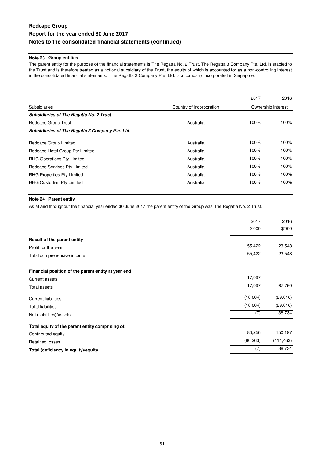#### **Note 23 Group entities**

The parent entity for the purpose of the financial statements is The Regatta No. 2 Trust. The Regatta 3 Company Pte. Ltd. is stapled to the Trust and is therefore treated as a notional subsidiary of the Trust, the equity of which is accounted for as a non-controlling interest in the consolidated financial statements. The Regatta 3 Company Pte. Ltd. is a company incorporated in Singapore.

|                                                 |                          | 2017               | 2016 |
|-------------------------------------------------|--------------------------|--------------------|------|
| <b>Subsidiaries</b>                             | Country of incorporation | Ownership interest |      |
| <b>Subsidiaries of The Regatta No. 2 Trust</b>  |                          |                    |      |
| Redcape Group Trust                             | Australia                | 100%               | 100% |
| Subsidiaries of The Regatta 3 Company Pte. Ltd. |                          |                    |      |
| Redcape Group Limited                           | Australia                | 100%               | 100% |
| Redcape Hotel Group Pty Limited                 | Australia                | 100%               | 100% |
| <b>RHG Operations Pty Limited</b>               | Australia                | 100%               | 100% |
| Redcape Services Pty Limited                    | Australia                | 100%               | 100% |
| <b>RHG Properties Pty Limited</b>               | Australia                | 100%               | 100% |
| <b>RHG Custodian Pty Limited</b>                | Australia                | 100%               | 100% |

#### **Note 24 Parent entity**

As at and throughout the financial year ended 30 June 2017 the parent entity of the Group was The Regatta No. 2 Trust.

|                                                     | 2017      | 2016       |
|-----------------------------------------------------|-----------|------------|
|                                                     | \$'000    | \$'000     |
| Result of the parent entity                         |           |            |
| Profit for the year                                 | 55,422    | 23,548     |
| Total comprehensive income                          | 55,422    | 23,548     |
| Financial position of the parent entity at year end |           |            |
| Current assets                                      | 17,997    |            |
| Total assets                                        | 17,997    | 67,750     |
| <b>Current liabilities</b>                          | (18,004)  | (29,016)   |
| <b>Total liabilities</b>                            | (18,004)  | (29,016)   |
| Net (liabilities)/assets                            | (7)       | 38,734     |
| Total equity of the parent entity comprising of:    |           |            |
| Contributed equity                                  | 80,256    | 150,197    |
| <b>Retained losses</b>                              | (80, 263) | (111, 463) |
| Total (deficiency in equity)/equity                 | (7)       | 38,734     |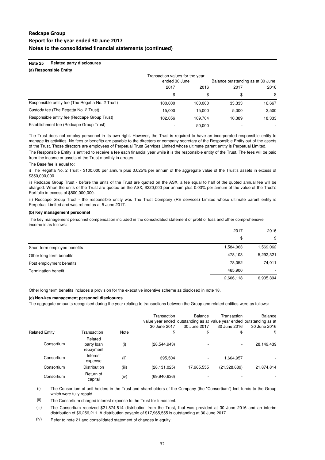#### **Note 25 Related party disclosures**

#### **(a) Responsible Entity**

|                                                  | Transaction values for the year |         |                                   |                          |  |  |
|--------------------------------------------------|---------------------------------|---------|-----------------------------------|--------------------------|--|--|
|                                                  | ended 30 June                   |         | Balance outstanding as at 30 June |                          |  |  |
|                                                  | 2017                            | 2016    | 2017                              | 2016                     |  |  |
|                                                  | \$                              | \$      | \$                                | \$                       |  |  |
| Responsible entity fee (The Regatta No. 2 Trust) | 100.000                         | 100.000 | 33,333                            | 16,667                   |  |  |
| Custody fee (The Regatta No. 2 Trust)            | 15.000                          | 15.000  | 5.000                             | 2,500                    |  |  |
| Responsible entity fee (Redcape Group Trust)     | 102.056                         | 109.704 | 10.389                            | 18,333                   |  |  |
| Establishment fee (Redcape Group Trust)          |                                 | 50.000  |                                   | $\overline{\phantom{a}}$ |  |  |

The Trust does not employ personnel in its own right. However, the Trust is required to have an incorporated responsible entity to manage its activities. No fees or benefits are payable to the directors or company secretary of the Responsible Entity out of the assets of the Trust. Those directors are employees of Perpetual Trust Services Limited whose ultimate parent entity is Perpetual Limited.

The Responsible Entity is entitled to receive a fee each financial year while it is the responsible entity of the Trust. The fees will be paid from the income or assets of the Trust monthly in arrears.

#### The Base fee is equal to:

i) The Regatta No. 2 Trust - \$100,000 per annum plus 0.025% per annum of the aggregate value of the Trust's assets in excess of \$350,000,000.

ii) Redcape Group Trust - before the units of the Trust are quoted on the ASX, a fee equal to half of the quoted annual fee will be charged. When the units of the Trust are quoted on the ASX, \$220,000 per annum plus 0.03% per annum of the value of the Trust's Portfolio in excess of \$500,000,000.

iii) Redcape Group Trust - the responsible entity was The Trust Company (RE services) Limited whose ultimate parent entity is Perpetual Limited and was retired as at 5 June 2017.

#### **(b) Key management personnel**

The key management personnel compensation included in the consolidated statement of profit or loss and other comprehensive income is as follows:

|                              | 2017      | 2016                     |
|------------------------------|-----------|--------------------------|
|                              | \$        | \$                       |
| Short term employee benefits | 1,584,063 | 1,569,062                |
| Other long term benefits     | 478,103   | 5,292,321                |
| Post employment benefits     | 78,052    | 74,011                   |
| <b>Termination benefit</b>   | 465,900   | $\overline{\phantom{a}}$ |
|                              | 2,606,118 | 6,935,394                |

Other long term benefits includes a provision for the executive incentive scheme as disclosed in note 18.

#### **(c) Non-key management personnel disclosures**

The aggregate amounts recognised during the year relating to transactions between the Group and related entities were as follows:

|                       |                                    |       | Transaction<br>30 June 2017 | Balance<br>30 June 2017  | Transaction<br>value year ended outstanding as at value year ended outstanding as at<br>30 June 2016 | <b>Balance</b><br>30 June 2016 |
|-----------------------|------------------------------------|-------|-----------------------------|--------------------------|------------------------------------------------------------------------------------------------------|--------------------------------|
| <b>Related Entity</b> | Transaction                        | Note  | \$                          | \$                       | \$                                                                                                   | \$                             |
| Consortium            | Related<br>party loan<br>repayment | (i)   | (28, 544, 943)              |                          |                                                                                                      | 28,149,439                     |
| Consortium            | Interest<br>expense                | (i)   | 395,504                     | $\overline{\phantom{a}}$ | 1,664,957                                                                                            |                                |
| Consortium            | Distribution                       | (iii) | (28, 131, 025)              | 17,965,555               | (21, 328, 689)                                                                                       | 21,874,814                     |
| Consortium            | Return of<br>capital               | (iv)  | (69,940,636)                |                          |                                                                                                      |                                |

(i) The Consortium of unit holders in the Trust and shareholders of the Company (the "Consortium") lent funds to the Group which were fully repaid.

(ii) The Consortium charged interest expense to the Trust for funds lent.

(iii) The Consortium received \$21,874,814 distribution from the Trust, that was provided at 30 June 2016 and an interim distribution of \$6,256,211. A distribution payable of \$17,965,555 is outstanding at 30 June 2017.

(iv) Refer to note 21 and consolidated statement of changes in equity.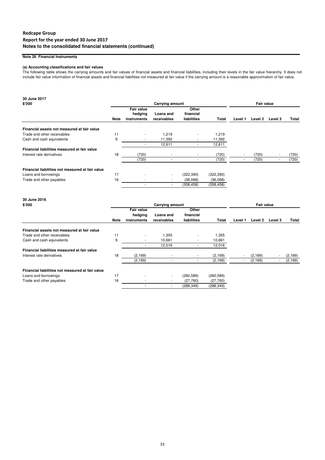#### **Note 26 Financial Instruments**

#### **(a) Accounting classifications and fair values**

The following table shows the carrying amounts and fair values of financial assets and financial liabilities, including their levels in the fair value hierarchy. It does not include fair value information of financial assets and financial liabilities not measured at fair value if the carrying amount is a reasonable approximation of fair value.

| 30 June 2017                                     |             |                              |             |                    |            |         |                   |         |       |  |
|--------------------------------------------------|-------------|------------------------------|-------------|--------------------|------------|---------|-------------------|---------|-------|--|
| $$^{\circ}000$                                   |             | <b>Carrying amount</b>       |             |                    |            |         | <b>Fair value</b> |         |       |  |
|                                                  |             | <b>Fair value</b><br>hedging | Loans and   | Other<br>financial |            |         |                   |         |       |  |
|                                                  | <b>Note</b> | instruments                  | receivables | liabilities        | Total      | Level 1 | Level 2           | Level 3 | Total |  |
| Financial assets not measured at fair value      |             |                              |             |                    |            |         |                   |         |       |  |
| Trade and other receivables                      | 11          | ٠                            | 1,219       | ۰                  | 1,219      |         |                   |         |       |  |
| Cash and cash equivalents                        | 9           | ٠                            | 11,392      | ۰                  | 11,392     |         |                   |         |       |  |
|                                                  |             |                              | 12,611      |                    | 12,611     |         |                   |         |       |  |
| Financial liabilities measured at fair value     |             |                              |             |                    |            |         |                   |         |       |  |
| Interest rate derivatives                        | 18          | (720)                        | ٠           | ٠                  | (720)      |         | (720)             |         | (720) |  |
|                                                  |             | (720)                        |             |                    | (720)      |         | (720)             |         | (720) |  |
| Financial liabilities not measured at fair value |             |                              |             |                    |            |         |                   |         |       |  |
| Loans and borrowings                             | 17          |                              | ٠           | (322, 390)         | (322, 390) |         |                   |         |       |  |
| Trade and other payables                         | 16          | ٠                            |             | (36,068)           | (36,068)   |         |                   |         |       |  |
|                                                  |             |                              | ٠           | (358, 458)         | (358, 458) |         |                   |         |       |  |

| 30 June 2016                                     |      |                   |                        |             |            |         |                   |         |          |  |
|--------------------------------------------------|------|-------------------|------------------------|-------------|------------|---------|-------------------|---------|----------|--|
| \$'000                                           |      |                   | <b>Carrying amount</b> |             |            |         | <b>Fair value</b> |         |          |  |
|                                                  |      | <b>Fair value</b> |                        | Other       |            |         |                   |         |          |  |
|                                                  |      | hedging           | Loans and              | financial   |            |         |                   |         |          |  |
|                                                  | Note | instruments       | receivables            | liabilities | Total      | Level 1 | Level 2           | Level 3 | Total    |  |
| Financial assets not measured at fair value      |      |                   |                        |             |            |         |                   |         |          |  |
| Trade and other receivables                      | 11   | ٠                 | 1,355                  |             | 1,355      |         |                   |         |          |  |
| Cash and cash equivalents                        | 9    |                   | 10,661                 |             | 10,661     |         |                   |         |          |  |
|                                                  |      |                   | 12,016                 |             | 12,016     |         |                   |         |          |  |
| Financial liabilities measured at fair value     |      |                   |                        |             |            |         |                   |         |          |  |
| Interest rate derivatives                        | 18   | (2, 169)          |                        |             | (2, 169)   |         | (2, 169)          |         | (2, 169) |  |
|                                                  |      | (2, 169)          |                        |             | (2, 169)   |         | (2, 169)          |         | (2, 169) |  |
| Financial liabilities not measured at fair value |      |                   |                        |             |            |         |                   |         |          |  |
| Loans and borrowings                             | 17   |                   | ٠                      | (260, 589)  | (260, 589) |         |                   |         |          |  |
| Trade and other payables                         | 16   | ٠                 | ۰                      | (27,760)    | (27,760)   |         |                   |         |          |  |
|                                                  |      |                   | ٠                      | (288, 349)  | (288, 349) |         |                   |         |          |  |
|                                                  |      |                   |                        |             |            |         |                   |         |          |  |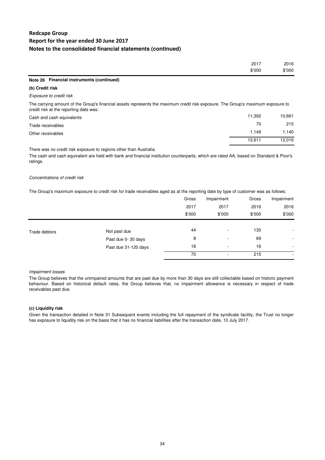|                                                                                                                                                                            | 2017   | 2016   |
|----------------------------------------------------------------------------------------------------------------------------------------------------------------------------|--------|--------|
|                                                                                                                                                                            | \$'000 | \$'000 |
| Note 26 Financial instruments (continued)                                                                                                                                  |        |        |
| (b) Credit risk                                                                                                                                                            |        |        |
| Exposure to credit risk                                                                                                                                                    |        |        |
| The carrying amount of the Group's financial assets represents the maximum credit risk exposure. The Group's maximum exposure to<br>credit risk at the reporting date was: |        |        |
| Cash and cash equivalents                                                                                                                                                  | 11,392 | 10,661 |
| Trade receivables                                                                                                                                                          | 70     | 215    |

Other receivables 1,140 1,140

There was no credit risk exposure to regions other than Australia.

The cash and cash equivalent are held with bank and financial institution counterparts, which are rated AA, based on Standard & Poor's ratings.

12,611 12,016

#### Concentrations of credit risk

The Group's maximum exposure to credit risk for trade receivables aged as at the reporting date by type of customer was as follows:

|               |                      | Gross  | Impairment               | Gross  | Impairment               |
|---------------|----------------------|--------|--------------------------|--------|--------------------------|
|               |                      | 2017   | 2017                     | 2016   | 2016                     |
|               |                      | \$'000 | \$'000                   | \$'000 | \$'000                   |
| Trade debtors | Not past due         | 44     | ۰                        | 130    | ۰.                       |
|               | Past due 0-30 days   | 8      | $\overline{\phantom{a}}$ | 69     | ۰.                       |
|               | Past due 31-120 days | 18     | $\overline{\phantom{a}}$ | 16     | $\overline{\phantom{a}}$ |
|               |                      | 70     | ٠                        | 215    |                          |

#### Impairment losses

The Group believes that the unimpaired amounts that are past due by more than 30 days are still collectable based on historic payment behaviour. Based on historical default rates, the Group believes that, no impairment allowance is necessary in respect of trade receivables past due.

#### **(c) Liquidity risk**

Given the transaction detailed in Note 31 Subsequent events including the full repayment of the syndicate facility, the Trust no longer has exposure to liquidity risk on the basis that it has no financial liabilities after the transaction date, 10 July 2017.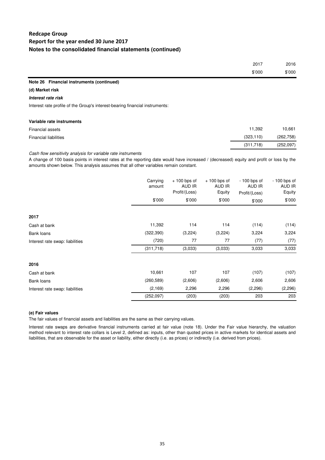|  |  | \$'000 | :'000 |
|--|--|--------|-------|
|  |  | 2017   | 2016  |
|  |  |        |       |

#### **Note 26 Financial instruments (continued)**

#### **(d) Market risk**

#### **Interest rate risk**

Interest rate profile of the Group's interest-bearing financial instruments:

#### **Variable rate instruments**

| Financial assets             | 11,392     | 10,661     |
|------------------------------|------------|------------|
| <b>Financial liabilities</b> | (323, 110) | (262, 758) |
|                              | (311,718)  | (252,097)  |

Cash flow sensitivity analysis for variable rate instruments

A change of 100 basis points in interest rates at the reporting date would have increased / (decreased) equity and profit or loss by the amounts shown below. This analysis assumes that all other variables remain constant.

|                                 | Carrying<br>amount<br>\$'000 | $+100$ bps of<br>AUD IR<br>Profit/(Loss)<br>\$'000 | $+100$ bps of<br>AUD IR<br>Equity<br>\$'000 | $-100$ bps of<br>AUD IR<br>Profit/(Loss)<br>\$'000 | $-100$ bps of<br>AUD IR<br>Equity<br>\$'000 |
|---------------------------------|------------------------------|----------------------------------------------------|---------------------------------------------|----------------------------------------------------|---------------------------------------------|
| 2017                            |                              |                                                    |                                             |                                                    |                                             |
| Cash at bank                    | 11,392                       | 114                                                | 114                                         | (114)                                              | (114)                                       |
| Bank loans                      | (322, 390)                   | (3,224)                                            | (3,224)                                     | 3,224                                              | 3,224                                       |
| Interest rate swap: liabilities | (720)                        | 77                                                 | 77                                          | (77)                                               | (77)                                        |
|                                 | (311, 718)                   | (3,033)                                            | (3,033)                                     | 3,033                                              | 3,033                                       |
| 2016                            |                              |                                                    |                                             |                                                    |                                             |
| Cash at bank                    | 10,661                       | 107                                                | 107                                         | (107)                                              | (107)                                       |
| Bank loans                      | (260, 589)                   | (2,606)                                            | (2,606)                                     | 2,606                                              | 2,606                                       |
| Interest rate swap: liabilities | (2, 169)                     | 2,296                                              | 2,296                                       | (2, 296)                                           | (2, 296)                                    |
|                                 | (252,097)                    | (203)                                              | (203)                                       | 203                                                | 203                                         |

#### **(e) Fair values**

The fair values of financial assets and liabilities are the same as their carrying values.

Interest rate swaps are derivative financial instruments carried at fair value (note 18). Under the Fair value hierarchy, the valuation method relevant to interest rate collars is Level 2, defined as: inputs, other than quoted prices in active markets for identical assets and liabilities, that are observable for the asset or liability, either directly (i.e. as prices) or indirectly (i.e. derived from prices).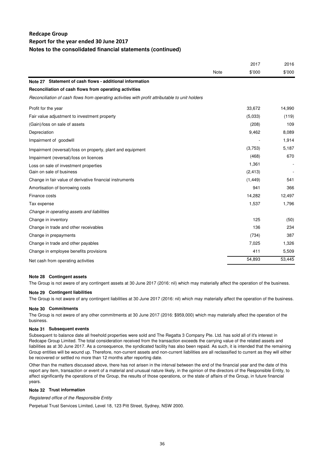|                                                                                                 | Note | 2017<br>\$'000 | 2016<br>\$'000 |
|-------------------------------------------------------------------------------------------------|------|----------------|----------------|
|                                                                                                 |      |                |                |
| Note 27 Statement of cash flows - additional information                                        |      |                |                |
| Reconciliation of cash flows from operating activities                                          |      |                |                |
| Reconciliation of cash flows from operating activities with profit attributable to unit holders |      |                |                |
| Profit for the year                                                                             |      | 33,672         | 14,990         |
| Fair value adjustment to investment property                                                    |      | (5.033)        | (119)          |
| (Gain)/loss on sale of assets                                                                   |      | (208)          | 109            |
| Depreciation                                                                                    |      | 9,462          | 8,089          |
| Impairment of goodwill                                                                          |      |                | 1,914          |
| Impairment (reversal)/loss on property, plant and equipment                                     |      | (3,753)        | 5,187          |
| Impairment (reversal)/loss on licences                                                          |      | (468)          | 670            |
| Loss on sale of investment properties                                                           |      | 1,361          |                |
| Gain on sale of business                                                                        |      | (2, 413)       |                |
| Change in fair value of derivative financial instruments                                        |      | (1, 449)       | 541            |
| Amortisation of borrowing costs                                                                 |      | 941            | 366            |
| Finance costs                                                                                   |      | 14,282         | 12,497         |
| Tax expense                                                                                     |      | 1,537          | 1,796          |
| Change in operating assets and liabilities                                                      |      |                |                |
| Change in inventory                                                                             |      | 125            | (50)           |
| Change in trade and other receivables                                                           |      | 136            | 234            |
| Change in prepayments                                                                           |      | (734)          | 387            |
| Change in trade and other payables                                                              |      | 7,025          | 1,326          |
| Change in employee benefits provisions                                                          |      | 411            | 5,509          |
| Net cash from operating activities                                                              |      | 54,893         | 53,445         |
|                                                                                                 |      |                |                |

#### **Note 28 Contingent assets**

The Group is not aware of any contingent assets at 30 June 2017 (2016: nil) which may materially affect the operation of the business.

#### **Note 29 Contingent liabilities**

The Group is not aware of any contingent liabilities at 30 June 2017 (2016: nil) which may materially affect the operation of the business.

#### **Note 30 Commitments**

The Group is not aware of any other commitments at 30 June 2017 (2016: \$959,000) which may materially affect the operation of the business.

#### **Note 31 Subsequent events**

Subsequent to balance date all freehold properties were sold and The Regatta 3 Company Pte. Ltd. has sold all of it's interest in Redcape Group Limited. The total consideration received from the transaction exceeds the carrying value of the related assets and liabilities as at 30 June 2017. As a consequence, the syndicated facility has also been repaid. As such, it is intended that the remaining Group entities will be wound up. Therefore, non-current assets and non-current liabilities are all reclassified to current as they will either be recovered or settled no more than 12 months after reporting date.

Other than the matters discussed above, there has not arisen in the interval between the end of the financial year and the date of this report any item, transaction or event of a material and unusual nature likely, in the opinion of the directors of the Responsible Entity, to affect significantly the operations of the Group, the results of those operations, or the state of affairs of the Group, in future financial years.

#### **Note 32 Trust information**

Registered office of the Responsible Entity

Perpetual Trust Services Limited, Level 18, 123 Pitt Street, Sydney, NSW 2000.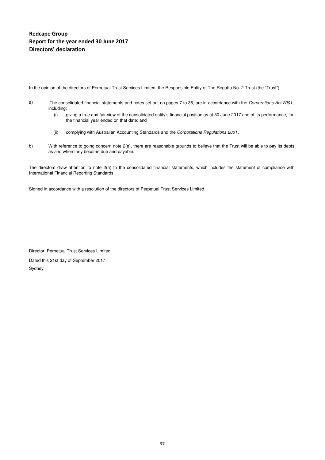### **Redcape Group Report for the year ended 30 June 2017 Directors' declaration**

In the opinion of the directors of Perpetual Trust Services Limited, the Responsible Entity of The Regatta No. 2 Trust (the "Trust"):

- a) The consolidated financial statements and notes set out on pages 7 to 36, are in accordance with the Corporations Act 2001, including:
	- (i) giving a true and fair view of the consolidated entity's financial position as at 30 June 2017 and of its performance, for the financial year ended on that date; and
	- (ii) complying with Australian Accounting Standards and the Corporations Regulations 2001 .
- b) With reference to going concern note 2(e), there are reasonable grounds to believe that the Trust will be able to pay its debts as and when they become due and payable.

The directors draw attention to note 2(a) to the consolidated financial statements, which includes the statement of compliance with International Financial Reporting Standards.

Signed in accordance with a resolution of the directors of Perpetual Trust Services Limited.

Sydney Director Perpetual Trust Services Limited Dated this 21st day of September 2017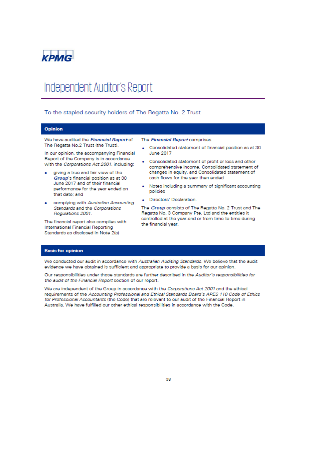

# Independent Auditor's Report

#### To the stapled security holders of The Regatta No. 2 Trust

#### Opinion

We have audited the Financial Report of The Regatta No.2 Trust (the Trust).

In our opinion, the accompanying Financial Report of the Company is in accordance with the Corporations Act 2001, including:

- giving a true and fair view of the Group's financial position as at 30 June 2017 and of their financial performance for the year ended on that date; and
- complying with Australian Accounting Standards and the Corporations Regulations 2001.

The financial report also complies with International Financial Reporting Standards as disclosed in Note 2(a)

#### The Financial Report comprises:

- Consolidated statement of financial position as at 30 June 2017
- Consolidated statement of profit or loss and other comprehensive income, Consolidated statement of changes in equity, and Consolidated statement of cash flows for the year then ended
- Notes including a summary of significant accounting policies
- · Directors' Declaration.

The Group consists of The Regatta No. 2 Trust and The Regatta No. 3 Company Pte. Ltd and the entities it controlled at the year-end or from time to time during the financial year.

#### **Basis for opinion**

We conducted our audit in accordance with Australian Auditing Standards. We believe that the audit evidence we have obtained is sufficient and appropriate to provide a basis for our opinion.

Our responsibilities under those standards are further described in the Auditor's responsibilities for the audit of the Financial Report section of our report.

We are independent of the Group in accordance with the Corporations Act 2001 and the ethical requirements of the Accounting Professional and Ethical Standards Board's APES 110 Code of Ethics for Professional Accountants (the Code) that are relevant to our audit of the Financial Report in Australia. We have fulfilled our other ethical responsibilities in accordance with the Code.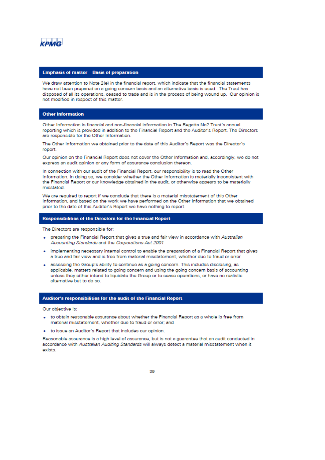

#### **Emphasis of matter - Basis of preparation**

We draw attention to Note 2(e) in the financial report, which indicate that the financial statements have not been prepared on a going concern basis and an alternative basis is used. The Trust has disposed of all its operations, ceased to trade and is in the process of being wound up. Our opinion is not modified in respect of this matter.

#### **Other Information**

Other Information is financial and non-financial information in The Regatta No2 Trust's annual reporting which is provided in addition to the Financial Report and the Auditor's Report. The Directors are responsible for the Other Information.

The Other Information we obtained prior to the date of this Auditor's Report was the Director's report

Our opinion on the Financial Report does not cover the Other Information and, accordingly, we do not express an audit opinion or any form of assurance conclusion thereon.

In connection with our audit of the Financial Report, our responsibility is to read the Other Information. In doing so, we consider whether the Other Information is materially inconsistent with the Financial Report or our knowledge obtained in the audit, or otherwise appears to be materially misstated.

We are required to report if we conclude that there is a material misstatement of this Other Information, and based on the work we have performed on the Other Information that we obtained prior to the date of this Auditor's Report we have nothing to report.

#### **Responsibilities of the Directors for the Financial Report**

The Directors are responsible for:

- preparing the Financial Report that gives a true and fair view in accordance with Australian Accounting Standards and the Corporations Act 2001
- implementing necessary internal control to enable the preparation of a Financial Report that gives a true and fair view and is free from material misstatement, whether due to fraud or error
- assessing the Group's ability to continue as a going concern. This includes disclosing, as applicable, matters related to going concern and using the going concern basis of accounting unless they either intend to liquidate the Group or to cease operations, or have no realistic alternative but to do so.

#### Auditor's responsibilities for the audit of the Financial Report

Our objective is:

- to obtain reasonable assurance about whether the Financial Report as a whole is free from material misstatement, whether due to fraud or error; and
- to issue an Auditor's Report that includes our opinion.

Reasonable assurance is a high level of assurance, but is not a guarantee that an audit conducted in accordance with Australian Auditing Standards will always detect a material misstatement when it exists.